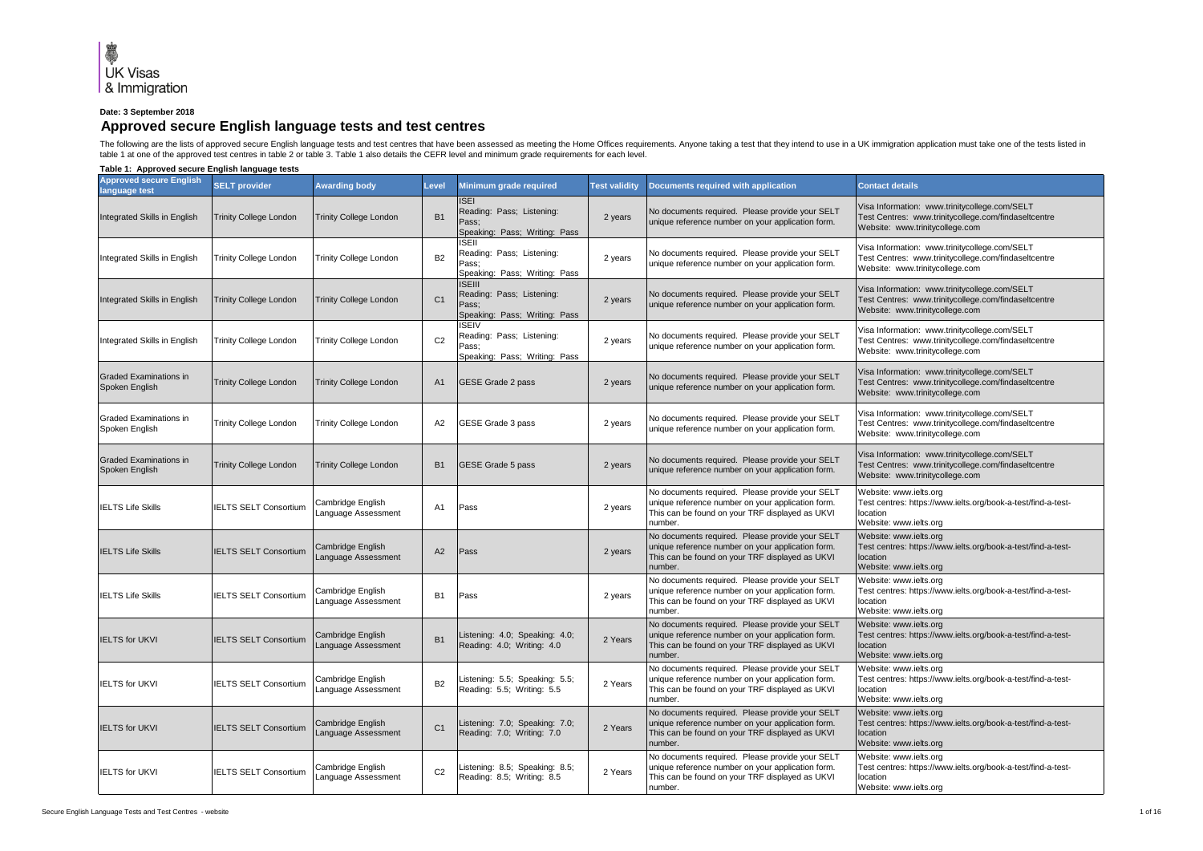## **Date: 3 September 2018**

## **Approved secure English language tests and test centres**

The following are the lists of approved secure English language tests and test centres that have been assessed as meeting the Home Offices requirements. Anyone taking a test that they intend to use in a UK immigration appl table 1 at one of the approved test centres in table 2 or table 3. Table 1 also details the CEFR level and minimum grade requirements for each level.

**Table 1: Approved secure English language tests**

| <b>Approved secure English</b><br>language test | <b>SELT provider</b>          | <b>Awarding body</b>                     | _evel          | Minimum grade required                                                               | <b>Test validity</b> | Documents required with application                                                                                                                                | <b>Contact details</b>                                                                                                                   |
|-------------------------------------------------|-------------------------------|------------------------------------------|----------------|--------------------------------------------------------------------------------------|----------------------|--------------------------------------------------------------------------------------------------------------------------------------------------------------------|------------------------------------------------------------------------------------------------------------------------------------------|
| Integrated Skills in English                    | <b>Trinity College London</b> | <b>Trinity College London</b>            | <b>B1</b>      | <b>ISEI</b><br>Reading: Pass; Listening:<br>Pass;<br>Speaking: Pass; Writing: Pass   | 2 years              | No documents required. Please provide your SELT<br>unique reference number on your application form.                                                               | Visa Information: www.trinitycollege.com/SELT<br>Test Centres: www.trinitycollege.com/findaseltcentre<br>Website: www.trinitycollege.com |
| Integrated Skills in English                    | <b>Trinity College London</b> | <b>Trinity College London</b>            | <b>B2</b>      | <b>ISEII</b><br>Reading: Pass; Listening:<br>Pass;<br>Speaking: Pass; Writing: Pass  | 2 years              | No documents required. Please provide your SELT<br>unique reference number on your application form.                                                               | Visa Information: www.trinitycollege.com/SELT<br>Test Centres: www.trinitycollege.com/findaseltcentre<br>Website: www.trinitycollege.com |
| Integrated Skills in English                    | <b>Trinity College London</b> | <b>Trinity College London</b>            | C <sub>1</sub> | <b>ISEIII</b><br>Reading: Pass; Listening:<br>Pass;<br>Speaking: Pass; Writing: Pass | 2 years              | No documents required. Please provide your SELT<br>unique reference number on your application form.                                                               | Visa Information: www.trinitycollege.com/SELT<br>Test Centres: www.trinitycollege.com/findaseltcentre<br>Website: www.trinitycollege.com |
| Integrated Skills in English                    | <b>Trinity College London</b> | <b>Trinity College London</b>            | C <sub>2</sub> | <b>ISEIV</b><br>Reading: Pass; Listening:<br>Pass:<br>Speaking: Pass; Writing: Pass  | 2 years              | No documents required. Please provide your SELT<br>unique reference number on your application form.                                                               | /isa Information: www.trinitycollege.com/SELT<br>Test Centres: www.trinitycollege.com/findaseltcentre<br>Website: www.trinitycollege.com |
| <b>Graded Examinations in</b><br>Spoken English | <b>Trinity College London</b> | <b>Trinity College London</b>            | A <sub>1</sub> | GESE Grade 2 pass                                                                    | 2 years              | No documents required. Please provide your SELT<br>unique reference number on your application form.                                                               | Visa Information: www.trinitycollege.com/SELT<br>Test Centres: www.trinitycollege.com/findaseltcentre<br>Website: www.trinitycollege.com |
| <b>Graded Examinations in</b><br>Spoken English | <b>Trinity College London</b> | <b>Trinity College London</b>            | A <sub>2</sub> | GESE Grade 3 pass                                                                    | 2 years              | No documents required. Please provide your SELT<br>unique reference number on your application form.                                                               | /isa Information: www.trinitycollege.com/SELT<br>Test Centres: www.trinitycollege.com/findaseltcentre<br>Website: www.trinitycollege.com |
| <b>Graded Examinations in</b><br>Spoken English | <b>Trinity College London</b> | <b>Trinity College London</b>            | <b>B1</b>      | GESE Grade 5 pass                                                                    | 2 years              | No documents required. Please provide your SELT<br>unique reference number on your application form.                                                               | Visa Information: www.trinitycollege.com/SELT<br>Test Centres: www.trinitycollege.com/findaseltcentre<br>Website: www.trinitycollege.com |
| <b>IELTS Life Skills</b>                        | <b>IELTS SELT Consortium</b>  | Cambridge English<br>anguage Assessment  | A <sub>1</sub> | Pass                                                                                 | 2 years              | No documents required. Please provide your SELT<br>unique reference number on your application form.<br>This can be found on your TRF displayed as UKVI<br>number. | Website: www.ielts.org<br>Test centres: https://www.ielts.org/book-a-test/find-a-test-<br>location<br>Website: www.ielts.org             |
| <b>IELTS Life Skills</b>                        | <b>IELTS SELT Consortium</b>  | Cambridge English<br>anguage Assessment  | A <sub>2</sub> | Pass                                                                                 | 2 years              | No documents required. Please provide your SELT<br>unique reference number on your application form.<br>This can be found on your TRF displayed as UKVI<br>number. | Website: www.ielts.org<br>Test centres: https://www.ielts.org/book-a-test/find-a-test-<br>location<br>Website: www.ielts.org             |
| <b>IELTS Life Skills</b>                        | <b>IELTS SELT Consortium</b>  | Cambridge English<br>anguage Assessment  | <b>B1</b>      | Pass                                                                                 | 2 years              | No documents required. Please provide your SELT<br>unique reference number on your application form.<br>This can be found on your TRF displayed as UKVI<br>number. | Website: www.ielts.org<br>Test centres: https://www.ielts.org/book-a-test/find-a-test-<br>location<br>Website: www.ielts.org             |
| <b>IELTS for UKVI</b>                           | <b>IELTS SELT Consortium</b>  | Cambridge English<br>Language Assessment | <b>B1</b>      | Listening: 4.0; Speaking: 4.0;<br>Reading: 4.0; Writing: 4.0                         | 2 Years              | No documents required. Please provide your SELT<br>unique reference number on your application form.<br>This can be found on your TRF displayed as UKVI<br>number. | Website: www.ielts.org<br>Test centres: https://www.ielts.org/book-a-test/find-a-test-<br>location<br>Website: www.ielts.org             |
| <b>IELTS for UKVI</b>                           | <b>IELTS SELT Consortium</b>  | Cambridge English<br>anguage Assessment  | <b>B2</b>      | Listening: 5.5; Speaking: 5.5;<br>Reading: 5.5; Writing: 5.5                         | 2 Years              | No documents required. Please provide your SELT<br>unique reference number on your application form.<br>This can be found on your TRF displayed as UKVI<br>number. | Website: www.ielts.org<br>Test centres: https://www.ielts.org/book-a-test/find-a-test-<br>location<br>Website: www.ielts.ora             |
| <b>IELTS for UKVI</b>                           | <b>IELTS SELT Consortium</b>  | Cambridge English<br>anguage Assessment  | C <sub>1</sub> | Listening: 7.0; Speaking: 7.0;<br>Reading: 7.0; Writing: 7.0                         | 2 Years              | No documents required. Please provide your SELT<br>unique reference number on your application form.<br>This can be found on your TRF displayed as UKVI<br>number. | Website: www.ielts.org<br>Test centres: https://www.ielts.org/book-a-test/find-a-test-<br>location<br>Website: www.ielts.org             |
| <b>IELTS for UKVI</b>                           | <b>IELTS SELT Consortium</b>  | Cambridge English<br>Language Assessment | C <sub>2</sub> | istening: 8.5; Speaking: 8.5;<br>Reading: 8.5; Writing: 8.5                          | 2 Years              | No documents required. Please provide your SELT<br>unique reference number on your application form.<br>This can be found on your TRF displayed as UKVI<br>number. | Website: www.ielts.org<br>Test centres: https://www.ielts.org/book-a-test/find-a-test-<br>location<br>Website: www.ielts.org             |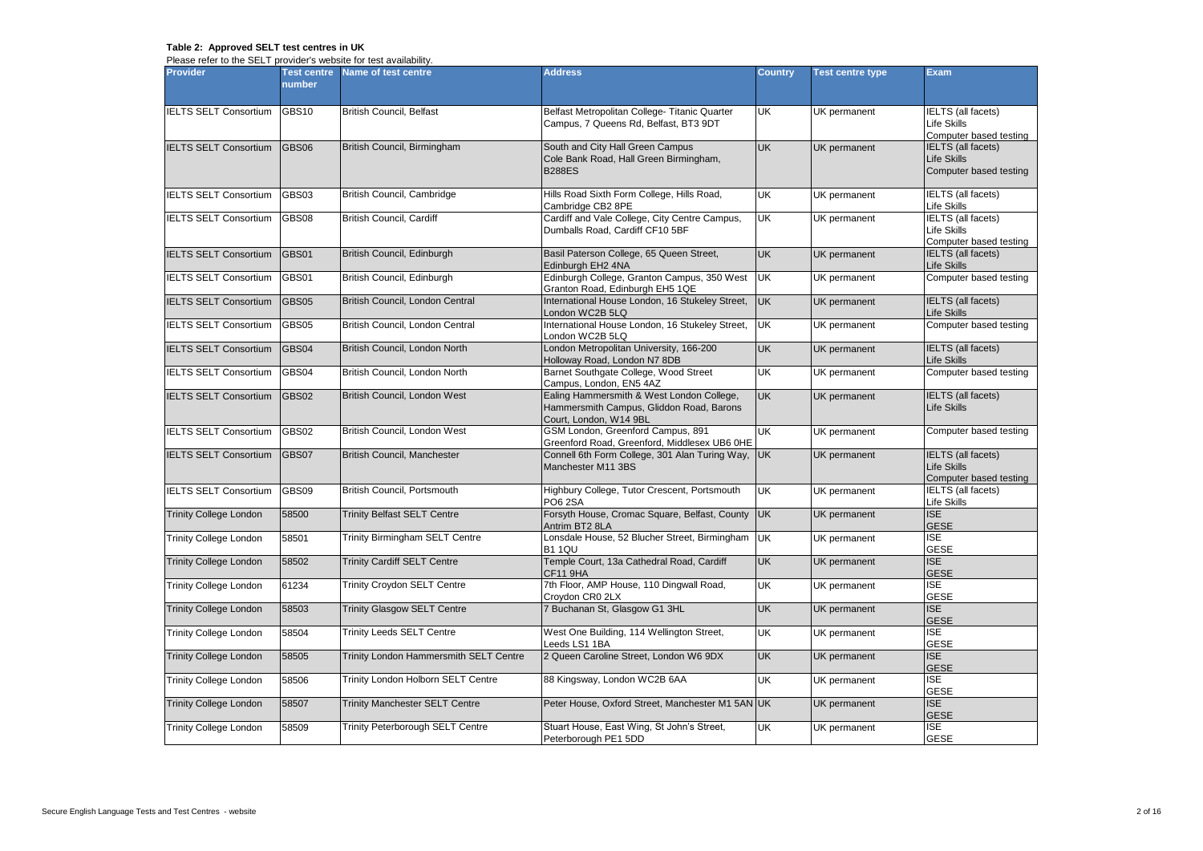## **Table 2: Approved SELT test centres in UK**

Please refer to the SELT provider's website for test availability.

| <b>Provider</b>               | <b>Test centre</b><br>number | Name of test centre                     | <b>Address</b>                                                                                                  | <b>Country</b> | <b>Test centre type</b> | <b>Exam</b>                                                               |
|-------------------------------|------------------------------|-----------------------------------------|-----------------------------------------------------------------------------------------------------------------|----------------|-------------------------|---------------------------------------------------------------------------|
| <b>IELTS SELT Consortium</b>  | <b>GBS10</b>                 | <b>British Council, Belfast</b>         | Belfast Metropolitan College- Titanic Quarter<br>Campus, 7 Queens Rd, Belfast, BT3 9DT                          | <b>UK</b>      | UK permanent            | IELTS (all facets)<br><b>Life Skills</b><br>Computer based testing        |
| <b>IELTS SELT Consortium</b>  | <b>GBS06</b>                 | British Council, Birmingham             | South and City Hall Green Campus<br>Cole Bank Road, Hall Green Birmingham,<br><b>B288ES</b>                     | <b>UK</b>      | UK permanent            | <b>IELTS</b> (all facets)<br><b>Life Skills</b><br>Computer based testing |
| <b>IELTS SELT Consortium</b>  | GBS03                        | British Council, Cambridge              | Hills Road Sixth Form College, Hills Road,<br>Cambridge CB2 8PE                                                 | UK             | UK permanent            | IELTS (all facets)<br>Life Skills                                         |
| <b>IELTS SELT Consortium</b>  | <b>GBS08</b>                 | <b>British Council, Cardiff</b>         | Cardiff and Vale College, City Centre Campus,<br>Dumballs Road, Cardiff CF10 5BF                                | UK             | UK permanent            | <b>IELTS</b> (all facets)<br><b>Life Skills</b><br>Computer based testing |
| <b>IELTS SELT Consortium</b>  | GBS01                        | British Council, Edinburgh              | Basil Paterson College, 65 Queen Street,<br>Edinburgh EH <sub>2</sub> 4NA                                       | <b>UK</b>      | UK permanent            | IELTS (all facets)<br>Life Skills                                         |
| <b>IELTS SELT Consortium</b>  | GBS01                        | British Council, Edinburgh              | Edinburgh College, Granton Campus, 350 West<br>Granton Road, Edinburgh EH5 1QE                                  | <b>UK</b>      | UK permanent            | Computer based testing                                                    |
| <b>IELTS SELT Consortium</b>  | GBS05                        | British Council, London Central         | International House London, 16 Stukeley Street,<br>London WC2B 5LQ                                              | <b>UK</b>      | UK permanent            | <b>IELTS</b> (all facets)<br>Life Skills                                  |
| IELTS SELT Consortium         | GBS05                        | British Council, London Central         | International House London, 16 Stukeley Street,<br>London WC2B 5LQ                                              | <b>UK</b>      | UK permanent            | Computer based testing                                                    |
| <b>IELTS SELT Consortium</b>  | GBS04                        | British Council, London North           | London Metropolitan University, 166-200<br>Holloway Road, London N7 8DB                                         | <b>UK</b>      | UK permanent            | <b>IELTS</b> (all facets)<br>Life Skills                                  |
| <b>IELTS SELT Consortium</b>  | GBS04                        | British Council, London North           | Barnet Southgate College, Wood Street<br>Campus, London, EN5 4AZ                                                | <b>UK</b>      | UK permanent            | Computer based testing                                                    |
| <b>IELTS SELT Consortium</b>  | <b>GBS02</b>                 | British Council, London West            | Ealing Hammersmith & West London College,<br>Hammersmith Campus, Gliddon Road, Barons<br>Court, London, W14 9BL | <b>UK</b>      | UK permanent            | IELTS (all facets)<br><b>Life Skills</b>                                  |
| <b>IELTS SELT Consortium</b>  | GBS02                        | British Council, London West            | GSM London, Greenford Campus, 891<br>Greenford Road, Greenford, Middlesex UB6 OHE                               | UK             | UK permanent            | Computer based testing                                                    |
| <b>IELTS SELT Consortium</b>  | GBS07                        | <b>British Council, Manchester</b>      | Connell 6th Form College, 301 Alan Turing Way,<br>Manchester M11 3BS                                            | <b>UK</b>      | UK permanent            | <b>IELTS</b> (all facets)<br><b>Life Skills</b><br>Computer based testing |
| <b>IELTS SELT Consortium</b>  | GBS09                        | British Council, Portsmouth             | Highbury College, Tutor Crescent, Portsmouth<br>PO6 2SA                                                         | <b>UK</b>      | UK permanent            | <b>IELTS</b> (all facets)<br><b>Life Skills</b>                           |
| <b>Trinity College London</b> | 58500                        | <b>Trinity Belfast SELT Centre</b>      | Forsyth House, Cromac Square, Belfast, County<br>Antrim BT2 8LA                                                 | <b>UK</b>      | UK permanent            | ISE<br><b>GESE</b>                                                        |
| <b>Trinity College London</b> | 58501                        | <b>Trinity Birmingham SELT Centre</b>   | Lonsdale House, 52 Blucher Street, Birmingham<br>B1 1QU                                                         | <b>UK</b>      | UK permanent            | <b>ISE</b><br><b>GESE</b>                                                 |
| <b>Trinity College London</b> | 58502                        | <b>Trinity Cardiff SELT Centre</b>      | Temple Court, 13a Cathedral Road, Cardiff<br><b>CF11 9HA</b>                                                    | <b>UK</b>      | UK permanent            | <b>ISE</b><br><b>GESE</b>                                                 |
| <b>Trinity College London</b> | 61234                        | <b>Trinity Croydon SELT Centre</b>      | 7th Floor, AMP House, 110 Dingwall Road,<br>Croydon CR0 2LX                                                     | UK             | UK permanent            | <b>ISE</b><br><b>GESE</b>                                                 |
| <b>Trinity College London</b> | 58503                        | <b>Trinity Glasgow SELT Centre</b>      | 7 Buchanan St, Glasgow G1 3HL                                                                                   | <b>UK</b>      | UK permanent            | <b>ISE</b><br><b>GESE</b>                                                 |
| <b>Trinity College London</b> | 58504                        | <b>Trinity Leeds SELT Centre</b>        | West One Building, 114 Wellington Street,<br>Leeds LS1 1BA                                                      | UK             | UK permanent            | $\overline{\mathsf{ISE}}$<br><b>GESE</b>                                  |
| <b>Trinity College London</b> | 58505                        | Trinity London Hammersmith SELT Centre  | 2 Queen Caroline Street, London W6 9DX                                                                          | <b>UK</b>      | UK permanent            | <b>ISE</b><br><b>GESE</b>                                                 |
| <b>Trinity College London</b> | 58506                        | Trinity London Holborn SELT Centre      | 88 Kingsway, London WC2B 6AA                                                                                    | UK             | UK permanent            | <b>ISE</b><br><b>GESE</b>                                                 |
| <b>Trinity College London</b> | 58507                        | <b>Trinity Manchester SELT Centre</b>   | Peter House, Oxford Street, Manchester M1 5AN UK                                                                |                | UK permanent            | <b>ISE</b><br><b>GESE</b>                                                 |
| <b>Trinity College London</b> | 58509                        | <b>Trinity Peterborough SELT Centre</b> | Stuart House, East Wing, St John's Street,<br>Peterborough PE1 5DD                                              | UK             | UK permanent            | <b>ISE</b><br><b>GESE</b>                                                 |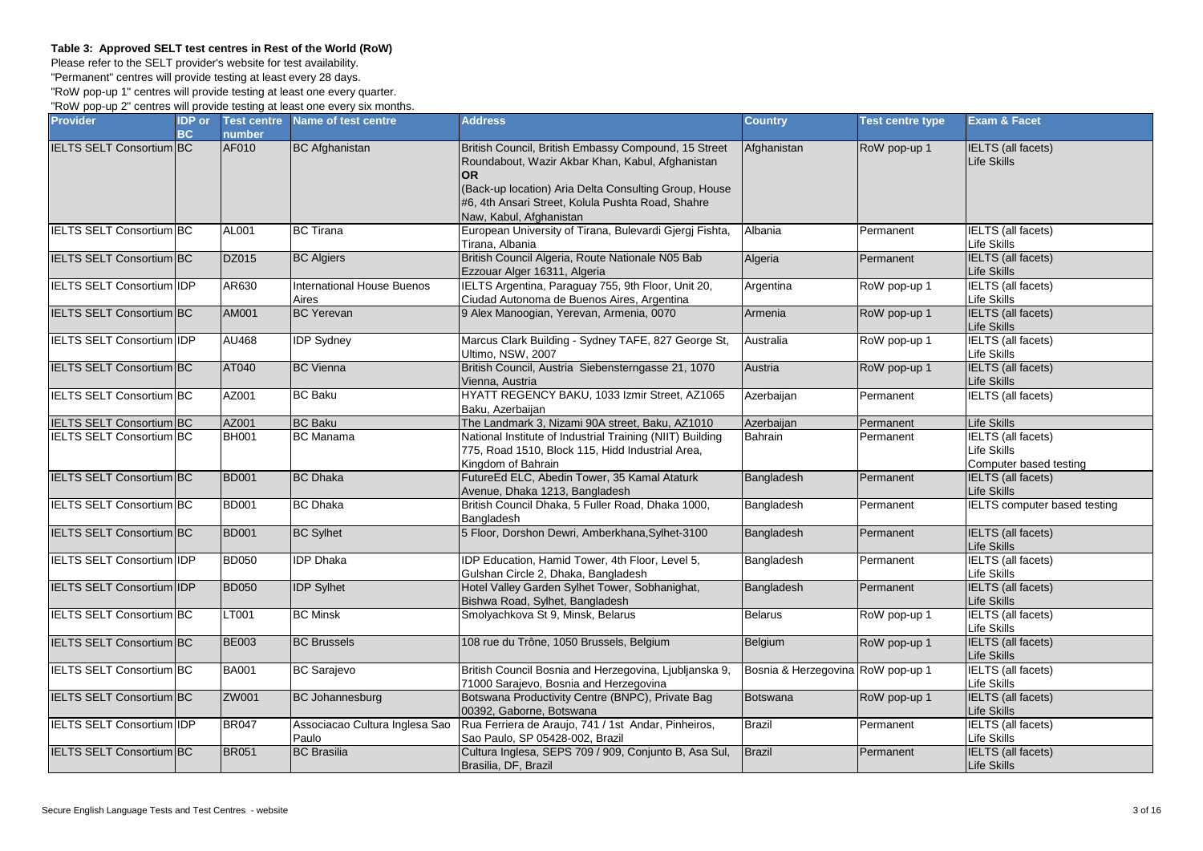## **Table 3: Approved SELT test centres in Rest of the World (RoW)**

Please refer to the SELT provider's website for test availability.

"Permanent" centres will provide testing at least every 28 days.

"RoW pop-up 1" centres will provide testing at least one every quarter. "RoW pop-up 2" centres will provide testing at least one every six months.

| <b>Provider</b>                  | <b>IDP</b> or | <b>Test centre</b> | Name of test centre                     | <b>Address</b>                                                                                                                                                                                                                                                 | <b>Country</b>                    | <b>Test centre type</b> | <b>Exam &amp; Facet</b>                                            |
|----------------------------------|---------------|--------------------|-----------------------------------------|----------------------------------------------------------------------------------------------------------------------------------------------------------------------------------------------------------------------------------------------------------------|-----------------------------------|-------------------------|--------------------------------------------------------------------|
|                                  | <b>BC</b>     | number             |                                         |                                                                                                                                                                                                                                                                |                                   |                         |                                                                    |
| <b>IELTS SELT Consortium BC</b>  |               | AF010              | <b>BC</b> Afghanistan                   | British Council, British Embassy Compound, 15 Street<br>Roundabout, Wazir Akbar Khan, Kabul, Afghanistan<br><b>OR</b><br>(Back-up location) Aria Delta Consulting Group, House<br>#6, 4th Ansari Street, Kolula Pushta Road, Shahre<br>Naw, Kabul, Afghanistan | Afghanistan                       | RoW pop-up 1            | <b>IELTS</b> (all facets)<br>Life Skills                           |
| <b>IELTS SELT Consortium BC</b>  |               | AL001              | <b>BC</b> Tirana                        | European University of Tirana, Bulevardi Gjergj Fishta,<br>Tirana, Albania                                                                                                                                                                                     | Albania                           | Permanent               | <b>IELTS</b> (all facets)<br>Life Skills                           |
| IELTS SELT Consortium BC         |               | DZ015              | <b>BC Algiers</b>                       | British Council Algeria, Route Nationale N05 Bab<br>Ezzouar Alger 16311, Algeria                                                                                                                                                                               | Algeria                           | Permanent               | <b>IELTS</b> (all facets)<br>Life Skills                           |
| <b>IELTS SELT Consortium IDP</b> |               | AR630              | International House Buenos<br>Aires     | IELTS Argentina, Paraguay 755, 9th Floor, Unit 20,<br>Ciudad Autonoma de Buenos Aires, Argentina                                                                                                                                                               | Argentina                         | RoW pop-up 1            | <b>IELTS</b> (all facets)<br>Life Skills                           |
| <b>IELTS SELT Consortium BC</b>  |               | AM001              | <b>BC</b> Yerevan                       | 9 Alex Manoogian, Yerevan, Armenia, 0070                                                                                                                                                                                                                       | Armenia                           | RoW pop-up 1            | <b>IELTS</b> (all facets)<br>Life Skills                           |
| <b>IELTS SELT Consortium IDP</b> |               | <b>AU468</b>       | <b>IDP Sydney</b>                       | Marcus Clark Building - Sydney TAFE, 827 George St,<br>Ultimo, NSW, 2007                                                                                                                                                                                       | Australia                         | RoW pop-up 1            | <b>IELTS</b> (all facets)<br>Life Skills                           |
| <b>IELTS SELT Consortium BC</b>  |               | AT040              | <b>BC</b> Vienna                        | British Council, Austria Siebensterngasse 21, 1070<br>Vienna, Austria                                                                                                                                                                                          | Austria                           | RoW pop-up 1            | <b>IELTS</b> (all facets)<br>Life Skills                           |
| IELTS SELT Consortium BC         |               | AZ001              | <b>BC Baku</b>                          | HYATT REGENCY BAKU, 1033 Izmir Street, AZ1065<br>Baku, Azerbaijan                                                                                                                                                                                              | Azerbaijan                        | Permanent               | <b>IELTS</b> (all facets)                                          |
| IELTS SELT Consortium BC         |               | AZ001              | <b>BC Baku</b>                          | The Landmark 3, Nizami 90A street, Baku, AZ1010                                                                                                                                                                                                                | Azerbaijan                        | Permanent               | Life Skills                                                        |
| <b>IELTS SELT Consortium BC</b>  |               | <b>BH001</b>       | <b>BC</b> Manama                        | National Institute of Industrial Training (NIIT) Building<br>775, Road 1510, Block 115, Hidd Industrial Area,<br>Kingdom of Bahrain                                                                                                                            | <b>Bahrain</b>                    | Permanent               | <b>IELTS</b> (all facets)<br>Life Skills<br>Computer based testing |
| <b>IELTS SELT Consortium BC</b>  |               | <b>BD001</b>       | <b>BC</b> Dhaka                         | FutureEd ELC, Abedin Tower, 35 Kamal Ataturk<br>Avenue, Dhaka 1213, Bangladesh                                                                                                                                                                                 | Bangladesh                        | Permanent               | <b>IELTS</b> (all facets)<br>Life Skills                           |
| IELTS SELT Consortium BC         |               | <b>BD001</b>       | <b>BC</b> Dhaka                         | British Council Dhaka, 5 Fuller Road, Dhaka 1000,<br>Bangladesh                                                                                                                                                                                                | Bangladesh                        | Permanent               | <b>IELTS</b> computer based testing                                |
| <b>IELTS SELT Consortium BC</b>  |               | <b>BD001</b>       | <b>BC Sylhet</b>                        | 5 Floor, Dorshon Dewri, Amberkhana, Sylhet-3100                                                                                                                                                                                                                | Bangladesh                        | Permanent               | <b>IELTS</b> (all facets)<br>Life Skills                           |
| <b>IELTS SELT Consortium IDP</b> |               | <b>BD050</b>       | <b>IDP</b> Dhaka                        | IDP Education, Hamid Tower, 4th Floor, Level 5,<br>Gulshan Circle 2, Dhaka, Bangladesh                                                                                                                                                                         | Bangladesh                        | Permanent               | <b>IELTS</b> (all facets)<br>Life Skills                           |
| IELTS SELT Consortium IDP        |               | <b>BD050</b>       | <b>IDP</b> Sylhet                       | Hotel Valley Garden Sylhet Tower, Sobhanighat,<br>Bishwa Road, Sylhet, Bangladesh                                                                                                                                                                              | Bangladesh                        | Permanent               | <b>IELTS</b> (all facets)<br>Life Skills                           |
| <b>IELTS SELT Consortium BC</b>  |               | LT001              | <b>BC Minsk</b>                         | Smolyachkova St 9, Minsk, Belarus                                                                                                                                                                                                                              | <b>Belarus</b>                    | RoW pop-up 1            | <b>IELTS</b> (all facets)<br>Life Skills                           |
| IELTS SELT Consortium BC         |               | <b>BE003</b>       | <b>BC Brussels</b>                      | 108 rue du Trône, 1050 Brussels, Belgium                                                                                                                                                                                                                       | Belgium                           | RoW pop-up 1            | IELTS (all facets)<br>Life Skills                                  |
| <b>IELTS SELT Consortium BC</b>  |               | <b>BA001</b>       | <b>BC</b> Sarajevo                      | British Council Bosnia and Herzegovina, Ljubljanska 9,<br>71000 Sarajevo, Bosnia and Herzegovina                                                                                                                                                               | Bosnia & Herzegovina RoW pop-up 1 |                         | <b>IELTS</b> (all facets)<br>Life Skills                           |
| <b>IELTS SELT Consortium BC</b>  |               | ZW001              | <b>BC Johannesburg</b>                  | Botswana Productivity Centre (BNPC), Private Bag<br>00392, Gaborne, Botswana                                                                                                                                                                                   | <b>Botswana</b>                   | RoW pop-up 1            | <b>IELTS</b> (all facets)<br>Life Skills                           |
| IELTS SELT Consortium IDP        |               | <b>BR047</b>       | Associacao Cultura Inglesa Sao<br>Paulo | Rua Ferriera de Araujo, 741 / 1st Andar, Pinheiros,<br>Sao Paulo, SP 05428-002, Brazil                                                                                                                                                                         | <b>Brazil</b>                     | Permanent               | <b>IELTS</b> (all facets)<br>Life Skills                           |
| <b>IELTS SELT Consortium BC</b>  |               | <b>BR051</b>       | <b>BC</b> Brasilia                      | Cultura Inglesa, SEPS 709 / 909, Conjunto B, Asa Sul,<br>Brasilia, DF, Brazil                                                                                                                                                                                  | <b>Brazil</b>                     | Permanent               | <b>IELTS</b> (all facets)<br>Life Skills                           |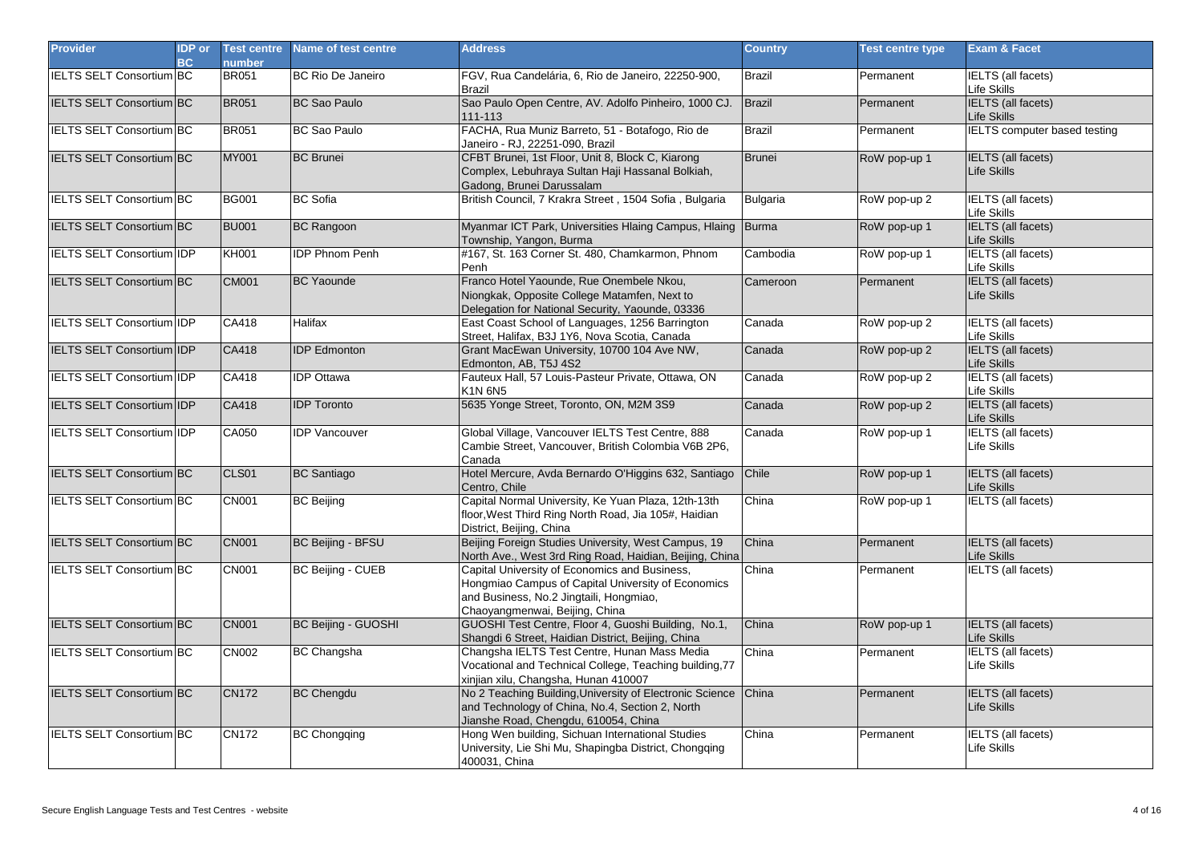| <b>Provider</b>                  | <b>IDP</b> or<br><b>BC</b> | <b>Test centre</b><br><b>number</b> | Name of test centre      | <b>Address</b>                                                                                                                                                                   | <b>Country</b>  | <b>Test centre type</b> | <b>Exam &amp; Facet</b>                  |
|----------------------------------|----------------------------|-------------------------------------|--------------------------|----------------------------------------------------------------------------------------------------------------------------------------------------------------------------------|-----------------|-------------------------|------------------------------------------|
| <b>IELTS SELT Consortium BC</b>  |                            | <b>BR051</b>                        | <b>BC Rio De Janeiro</b> | FGV, Rua Candelária, 6, Rio de Janeiro, 22250-900,<br><b>Brazil</b>                                                                                                              | <b>Brazil</b>   | Permanent               | <b>IELTS</b> (all facets)<br>Life Skills |
| <b>IELTS SELT Consortium BC</b>  |                            | <b>BR051</b>                        | <b>BC Sao Paulo</b>      | Sao Paulo Open Centre, AV. Adolfo Pinheiro, 1000 CJ.<br>111-113                                                                                                                  | Brazil          | Permanent               | <b>IELTS</b> (all facets)<br>Life Skills |
| <b>IELTS SELT Consortium BC</b>  |                            | <b>BR051</b>                        | <b>BC Sao Paulo</b>      | FACHA, Rua Muniz Barreto, 51 - Botafogo, Rio de<br>Janeiro - RJ, 22251-090, Brazil                                                                                               | <b>Brazil</b>   | Permanent               | <b>IELTS</b> computer based testing      |
| IELTS SELT Consortium BC         |                            | <b>MY001</b>                        | <b>BC</b> Brunei         | CFBT Brunei, 1st Floor, Unit 8, Block C, Kiarong<br>Complex, Lebuhraya Sultan Haji Hassanal Bolkiah,<br>Gadong, Brunei Darussalam                                                | <b>Brunei</b>   | RoW pop-up 1            | IELTS (all facets)<br>Life Skills        |
| IELTS SELT Consortium BC         |                            | <b>BG001</b>                        | <b>BC</b> Sofia          | British Council, 7 Krakra Street, 1504 Sofia, Bulgaria                                                                                                                           | <b>Bulgaria</b> | RoW pop-up 2            | <b>IELTS</b> (all facets)<br>Life Skills |
| <b>IELTS SELT Consortium BC</b>  |                            | <b>BU001</b>                        | <b>BC Rangoon</b>        | Myanmar ICT Park, Universities Hlaing Campus, Hlaing Burma<br>Township, Yangon, Burma                                                                                            |                 | RoW pop-up 1            | <b>IELTS</b> (all facets)<br>Life Skills |
| <b>IELTS SELT Consortium IDP</b> |                            | <b>KH001</b>                        | <b>IDP Phnom Penh</b>    | #167, St. 163 Corner St. 480, Chamkarmon, Phnom<br>Penh                                                                                                                          | Cambodia        | RoW pop-up 1            | IELTS (all facets)<br>Life Skills        |
| <b>IELTS SELT Consortium BC</b>  |                            | <b>CM001</b>                        | <b>BC Yaounde</b>        | Franco Hotel Yaounde, Rue Onembele Nkou,<br>Niongkak, Opposite College Matamfen, Next to<br>Delegation for National Security, Yaounde, 03336                                     | Cameroon        | Permanent               | <b>IELTS</b> (all facets)<br>Life Skills |
| <b>IELTS SELT Consortium IDP</b> |                            | CA418                               | Halifax                  | East Coast School of Languages, 1256 Barrington<br>Street, Halifax, B3J 1Y6, Nova Scotia, Canada                                                                                 | Canada          | RoW pop-up 2            | <b>IELTS</b> (all facets)<br>Life Skills |
| <b>IELTS SELT Consortium IDP</b> |                            | CA418                               | <b>IDP</b> Edmonton      | Grant MacEwan University, 10700 104 Ave NW,<br>Edmonton, AB, T5J 4S2                                                                                                             | Canada          | RoW pop-up 2            | <b>IELTS</b> (all facets)<br>Life Skills |
| <b>IELTS SELT Consortium IDP</b> |                            | CA418                               | <b>IDP Ottawa</b>        | Fauteux Hall, 57 Louis-Pasteur Private, Ottawa, ON<br><b>K1N 6N5</b>                                                                                                             | Canada          | RoW pop-up 2            | <b>IELTS</b> (all facets)<br>Life Skills |
| IELTS SELT Consortium IDP        |                            | CA418                               | <b>IDP Toronto</b>       | 5635 Yonge Street, Toronto, ON, M2M 3S9                                                                                                                                          | Canada          | RoW pop-up 2            | <b>IELTS</b> (all facets)<br>Life Skills |
| <b>IELTS SELT Consortium IDP</b> |                            | CA050                               | <b>IDP Vancouver</b>     | Global Village, Vancouver IELTS Test Centre, 888<br>Cambie Street, Vancouver, British Colombia V6B 2P6,<br>Canada                                                                | Canada          | RoW pop-up 1            | <b>IELTS</b> (all facets)<br>Life Skills |
| <b>IELTS SELT Consortium BC</b>  |                            | CLS01                               | <b>BC</b> Santiago       | Hotel Mercure, Avda Bernardo O'Higgins 632, Santiago<br>Centro, Chile                                                                                                            | Chile           | RoW pop-up 1            | <b>IELTS</b> (all facets)<br>Life Skills |
| IELTS SELT Consortium BC         |                            | <b>CN001</b>                        | <b>BC</b> Beijing        | Capital Normal University, Ke Yuan Plaza, 12th-13th<br>floor, West Third Ring North Road, Jia 105#, Haidian<br>District, Beijing, China                                          | China           | RoW pop-up 1            | <b>IELTS</b> (all facets)                |
| <b>IELTS SELT Consortium BC</b>  |                            | <b>CN001</b>                        | BC Beijing - BFSU        | Beijing Foreign Studies University, West Campus, 19<br>North Ave., West 3rd Ring Road, Haidian, Beijing, China                                                                   | China           | Permanent               | <b>IELTS</b> (all facets)<br>Life Skills |
| <b>IELTS SELT Consortium BC</b>  |                            | <b>CN001</b>                        | <b>BC Beijing - CUEB</b> | Capital University of Economics and Business,<br>Hongmiao Campus of Capital University of Economics<br>and Business, No.2 Jingtaili, Hongmiao,<br>Chaoyangmenwai, Beijing, China | China           | Permanent               | <b>IELTS</b> (all facets)                |
| <b>IELTS SELT Consortium BC</b>  |                            | <b>CN001</b>                        | BC Beijing - GUOSHI      | GUOSHI Test Centre, Floor 4, Guoshi Building, No.1,<br>Shangdi 6 Street, Haidian District, Beijing, China                                                                        | China           | RoW pop-up 1            | <b>IELTS</b> (all facets)<br>Life Skills |
| IELTS SELT Consortium BC         |                            | <b>CN002</b>                        | <b>BC Changsha</b>       | Changsha IELTS Test Centre, Hunan Mass Media<br>Vocational and Technical College, Teaching building, 77<br>xinjian xilu, Changsha, Hunan 410007                                  | China           | Permanent               | <b>IELTS</b> (all facets)<br>Life Skills |
| <b>IELTS SELT Consortium BC</b>  |                            | <b>CN172</b>                        | <b>BC Chengdu</b>        | No 2 Teaching Building, University of Electronic Science<br>and Technology of China, No.4, Section 2, North<br>Jianshe Road, Chengdu, 610054, China                              | China           | Permanent               | <b>IELTS</b> (all facets)<br>Life Skills |
| <b>IELTS SELT Consortium BC</b>  |                            | <b>CN172</b>                        | <b>BC Chongqing</b>      | Hong Wen building, Sichuan International Studies<br>University, Lie Shi Mu, Shapingba District, Chongqing<br>400031, China                                                       | China           | Permanent               | IELTS (all facets)<br>Life Skills        |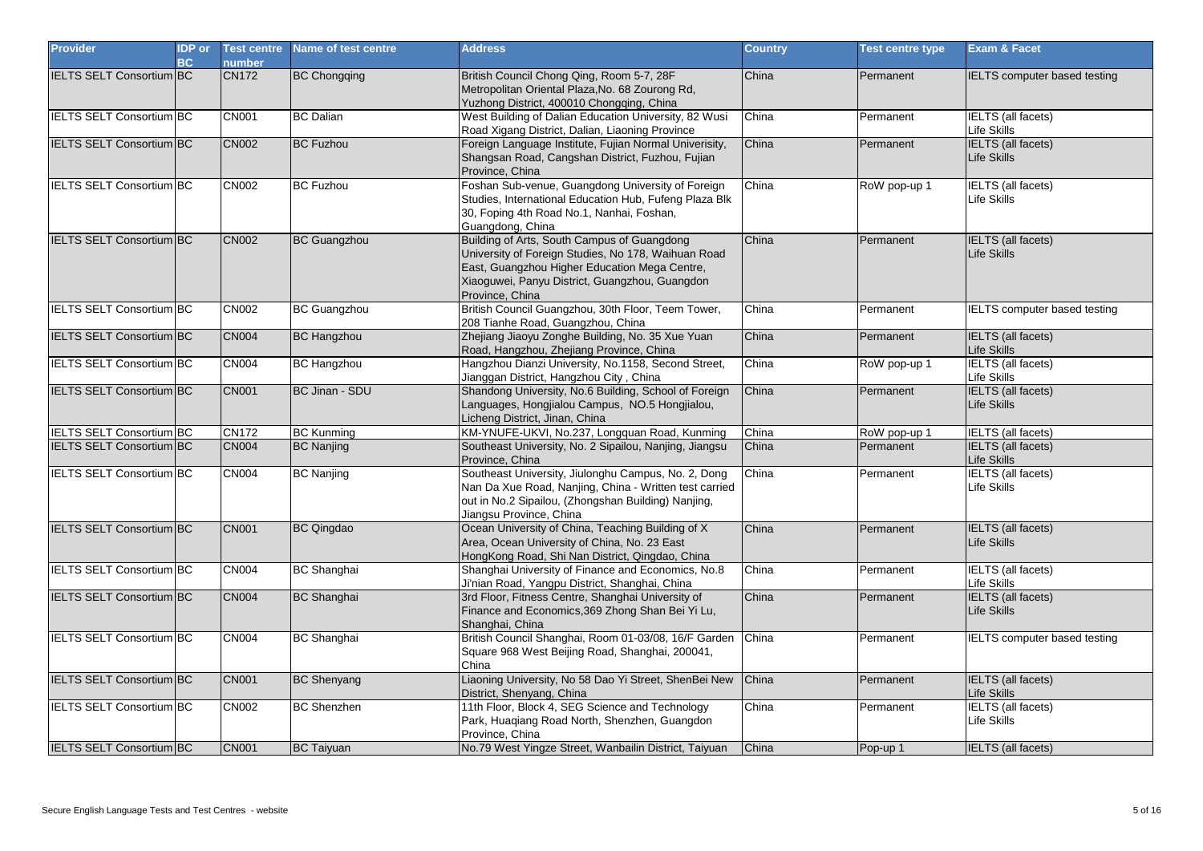| <b>Provider</b>                 | <b>IDP</b> or<br>BC | <b>Test centre</b><br>number | Name of test centre   | <b>Address</b>                                                                                                                                                                                                           | <b>Country</b> | <b>Test centre type</b> | <b>Exam &amp; Facet</b>                         |
|---------------------------------|---------------------|------------------------------|-----------------------|--------------------------------------------------------------------------------------------------------------------------------------------------------------------------------------------------------------------------|----------------|-------------------------|-------------------------------------------------|
| <b>IELTS SELT Consortium BC</b> |                     | <b>CN172</b>                 | <b>BC Chongqing</b>   | British Council Chong Qing, Room 5-7, 28F<br>Metropolitan Oriental Plaza, No. 68 Zourong Rd,<br>Yuzhong District, 400010 Chongqing, China                                                                                | China          | Permanent               | IELTS computer based testing                    |
| <b>IELTS SELT Consortium BC</b> |                     | <b>CN001</b>                 | <b>BC</b> Dalian      | West Building of Dalian Education University, 82 Wusi<br>Road Xigang District, Dalian, Liaoning Province                                                                                                                 | China          | Permanent               | <b>IELTS</b> (all facets)<br>Life Skills        |
| <b>IELTS SELT Consortium BC</b> |                     | <b>CN002</b>                 | <b>BC Fuzhou</b>      | Foreign Language Institute, Fujian Normal Univerisity,<br>Shangsan Road, Cangshan District, Fuzhou, Fujian<br>Province, China                                                                                            | China          | Permanent               | <b>IELTS</b> (all facets)<br><b>Life Skills</b> |
| <b>IELTS SELT Consortium BC</b> |                     | <b>CN002</b>                 | <b>BC Fuzhou</b>      | Foshan Sub-venue, Guangdong University of Foreign<br>Studies, International Education Hub, Fufeng Plaza Blk<br>30, Foping 4th Road No.1, Nanhai, Foshan,<br>Guangdong, China                                             | China          | RoW pop-up 1            | <b>IELTS</b> (all facets)<br>Life Skills        |
| <b>IELTS SELT Consortium BC</b> |                     | <b>CN002</b>                 | <b>BC Guangzhou</b>   | Building of Arts, South Campus of Guangdong<br>University of Foreign Studies, No 178, Waihuan Road<br>East, Guangzhou Higher Education Mega Centre,<br>Xiaoguwei, Panyu District, Guangzhou, Guangdon<br>Province, China | China          | Permanent               | IELTS (all facets)<br><b>Life Skills</b>        |
| <b>IELTS SELT Consortium BC</b> |                     | <b>CN002</b>                 | <b>BC Guangzhou</b>   | British Council Guangzhou, 30th Floor, Teem Tower,<br>208 Tianhe Road, Guangzhou, China                                                                                                                                  | China          | Permanent               | IELTS computer based testing                    |
| <b>IELTS SELT Consortium BC</b> |                     | <b>CN004</b>                 | <b>BC Hangzhou</b>    | Zhejiang Jiaoyu Zonghe Building, No. 35 Xue Yuan<br>Road, Hangzhou, Zhejiang Province, China                                                                                                                             | China          | Permanent               | IELTS (all facets)<br>Life Skills               |
| <b>IELTS SELT Consortium BC</b> |                     | <b>CN004</b>                 | <b>BC Hangzhou</b>    | Hangzhou Dianzi University, No.1158, Second Street,<br>Jianggan District, Hangzhou City, China                                                                                                                           | China          | RoW pop-up 1            | <b>IELTS</b> (all facets)<br>Life Skills        |
| <b>IELTS SELT Consortium BC</b> |                     | <b>CN001</b>                 | <b>BC Jinan - SDU</b> | Shandong University, No.6 Building, School of Foreign<br>Languages, Hongjialou Campus, NO.5 Hongjialou,<br>Licheng District, Jinan, China                                                                                | China          | Permanent               | <b>IELTS</b> (all facets)<br><b>Life Skills</b> |
| IELTS SELT Consortium BC        |                     | <b>CN172</b>                 | <b>BC Kunming</b>     | KM-YNUFE-UKVI, No.237, Longquan Road, Kunming                                                                                                                                                                            | China          | RoW pop-up 1            | <b>IELTS</b> (all facets)                       |
| <b>IELTS SELT Consortium BC</b> |                     | <b>CN004</b>                 | <b>BC Nanjing</b>     | Southeast University, No. 2 Sipailou, Nanjing, Jiangsu<br>Province, China                                                                                                                                                | China          | Permanent               | <b>IELTS</b> (all facets)<br>Life Skills        |
| <b>IELTS SELT Consortium BC</b> |                     | <b>CN004</b>                 | <b>BC Nanjing</b>     | Southeast University, Jiulonghu Campus, No. 2, Dong<br>Nan Da Xue Road, Nanjing, China - Written test carried<br>out in No.2 Sipailou, (Zhongshan Building) Nanjing,<br>Jiangsu Province, China                          | China          | Permanent               | <b>IELTS</b> (all facets)<br>Life Skills        |
| <b>IELTS SELT Consortium BC</b> |                     | <b>CN001</b>                 | <b>BC Qingdao</b>     | Ocean University of China, Teaching Building of X<br>Area, Ocean University of China, No. 23 East<br>HongKong Road, Shi Nan District, Qingdao, China                                                                     | China          | Permanent               | <b>IELTS</b> (all facets)<br><b>Life Skills</b> |
| <b>IELTS SELT Consortium BC</b> |                     | <b>CN004</b>                 | <b>BC</b> Shanghai    | Shanghai University of Finance and Economics, No.8<br>Ji'nian Road, Yangpu District, Shanghai, China                                                                                                                     | China          | Permanent               | <b>IELTS</b> (all facets)<br>Life Skills        |
| <b>IELTS SELT Consortium BC</b> |                     | <b>CN004</b>                 | <b>BC Shanghai</b>    | 3rd Floor, Fitness Centre, Shanghai University of<br>Finance and Economics, 369 Zhong Shan Bei Yi Lu,<br>Shanghai, China                                                                                                 | China          | Permanent               | <b>IELTS</b> (all facets)<br><b>Life Skills</b> |
| <b>IELTS SELT Consortium BC</b> |                     | <b>CN004</b>                 | <b>BC</b> Shanghai    | British Council Shanghai, Room 01-03/08, 16/F Garden<br>Square 968 West Beijing Road, Shanghai, 200041,<br>China                                                                                                         | China          | Permanent               | IELTS computer based testing                    |
| <b>IELTS SELT Consortium BC</b> |                     | <b>CN001</b>                 | <b>BC</b> Shenyang    | Liaoning University, No 58 Dao Yi Street, ShenBei New<br>District, Shenyang, China                                                                                                                                       | China          | Permanent               | <b>IELTS</b> (all facets)<br>Life Skills        |
| <b>IELTS SELT Consortium BC</b> |                     | <b>CN002</b>                 | <b>BC</b> Shenzhen    | 11th Floor, Block 4, SEG Science and Technology<br>Park, Huaqiang Road North, Shenzhen, Guangdon<br>Province, China                                                                                                      | China          | Permanent               | <b>IELTS</b> (all facets)<br>Life Skills        |
| <b>IELTS SELT Consortium BC</b> |                     | <b>CN001</b>                 | <b>BC Taiyuan</b>     | No.79 West Yingze Street, Wanbailin District, Taiyuan                                                                                                                                                                    | China          | Pop-up 1                | IELTS (all facets)                              |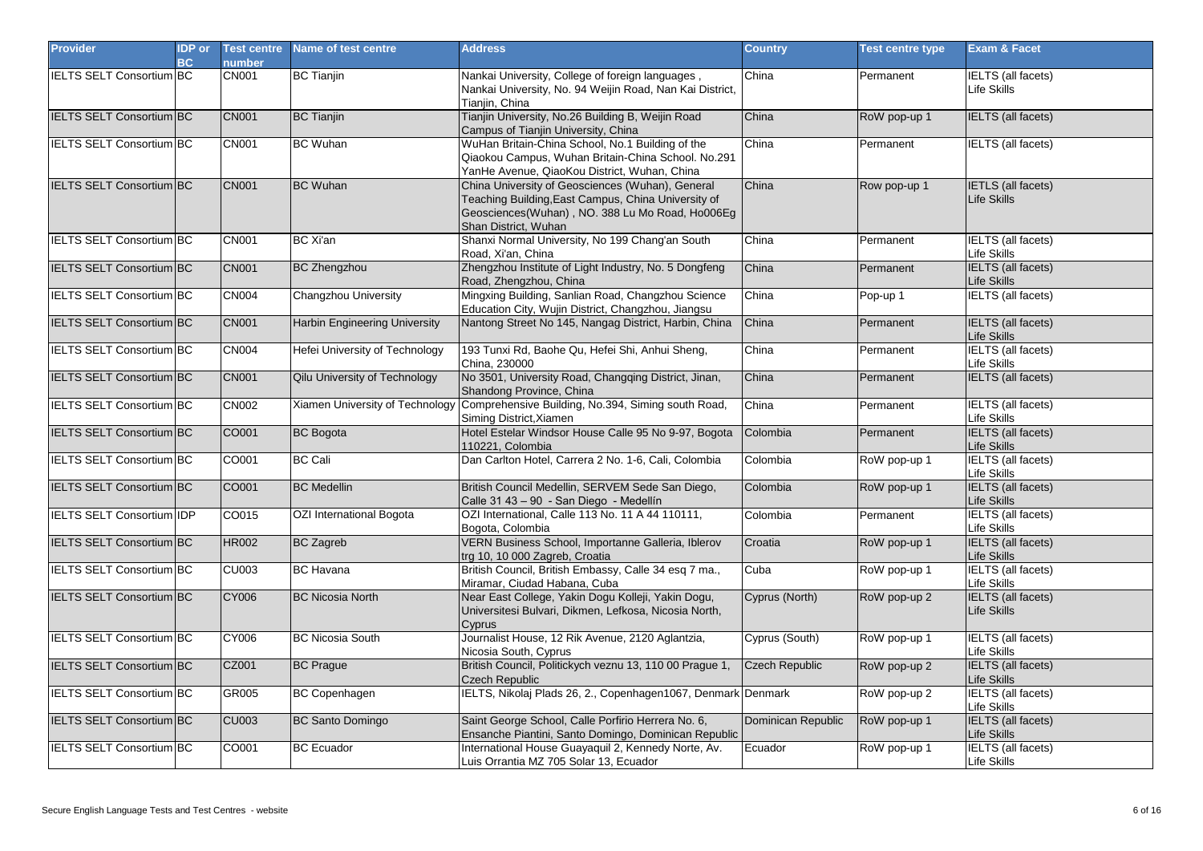| <b>Provider</b>                  | <b>IDP</b> or<br><b>BC</b> | <b>Test centre</b><br>number | Name of test centre                  | <b>Address</b>                                                                                                                                                                     | <b>Country</b>     | <b>Test centre type</b> | <b>Exam &amp; Facet</b>                         |
|----------------------------------|----------------------------|------------------------------|--------------------------------------|------------------------------------------------------------------------------------------------------------------------------------------------------------------------------------|--------------------|-------------------------|-------------------------------------------------|
| <b>IELTS SELT Consortium BC</b>  |                            | <b>CN001</b>                 | <b>BC Tianjin</b>                    | Nankai University, College of foreign languages,<br>Nankai University, No. 94 Weijin Road, Nan Kai District,<br>Tianjin, China                                                     | China              | Permanent               | <b>IELTS</b> (all facets)<br>Life Skills        |
| <b>IELTS SELT Consortium BC</b>  |                            | <b>CN001</b>                 | <b>BC</b> Tianjin                    | Tianjin University, No.26 Building B, Weijin Road<br>Campus of Tianjin University, China                                                                                           | China              | RoW pop-up 1            | IELTS (all facets)                              |
| <b>IELTS SELT Consortium BC</b>  |                            | <b>CN001</b>                 | <b>BC</b> Wuhan                      | WuHan Britain-China School, No.1 Building of the<br>Qiaokou Campus, Wuhan Britain-China School. No.291<br>YanHe Avenue, QiaoKou District, Wuhan, China                             | China              | Permanent               | IELTS (all facets)                              |
| <b>IELTS SELT Consortium BC</b>  |                            | <b>CN001</b>                 | <b>BC</b> Wuhan                      | China University of Geosciences (Wuhan), General<br>Teaching Building, East Campus, China University of<br>Geosciences(Wuhan), NO. 388 Lu Mo Road, Ho006Eg<br>Shan District, Wuhan | China              | Row pop-up 1            | <b>IETLS</b> (all facets)<br><b>Life Skills</b> |
| <b>IELTS SELT Consortium BC</b>  |                            | <b>CN001</b>                 | <b>BC</b> Xi'an                      | Shanxi Normal University, No 199 Chang'an South<br>Road, Xi'an, China                                                                                                              | China              | Permanent               | <b>IELTS</b> (all facets)<br>Life Skills        |
| <b>IELTS SELT Consortium BC</b>  |                            | <b>CN001</b>                 | <b>BC</b> Zhengzhou                  | Zhengzhou Institute of Light Industry, No. 5 Dongfeng<br>Road, Zhengzhou, China                                                                                                    | China              | Permanent               | <b>IELTS</b> (all facets)<br>Life Skills        |
| <b>IELTS SELT Consortium BC</b>  |                            | <b>CN004</b>                 | Changzhou University                 | Mingxing Building, Sanlian Road, Changzhou Science<br>Education City, Wujin District, Changzhou, Jiangsu                                                                           | China              | Pop-up 1                | <b>IELTS</b> (all facets)                       |
| IELTS SELT Consortium BC         |                            | <b>CN001</b>                 | <b>Harbin Engineering University</b> | Nantong Street No 145, Nangag District, Harbin, China                                                                                                                              | China              | Permanent               | IELTS (all facets)<br><b>Life Skills</b>        |
| <b>IELTS SELT Consortium BC</b>  |                            | <b>CN004</b>                 | Hefei University of Technology       | 193 Tunxi Rd, Baohe Qu, Hefei Shi, Anhui Sheng,<br>China, 230000                                                                                                                   | China              | Permanent               | <b>IELTS</b> (all facets)<br>Life Skills        |
| <b>IELTS SELT Consortium BC</b>  |                            | <b>CN001</b>                 | <b>Qilu University of Technology</b> | No 3501, University Road, Changqing District, Jinan,<br>Shandong Province, China                                                                                                   | China              | Permanent               | <b>IELTS</b> (all facets)                       |
| IELTS SELT Consortium BC         |                            | <b>CN002</b>                 |                                      | Xiamen University of Technology Comprehensive Building, No.394, Siming south Road,<br>Siming District, Xiamen                                                                      | China              | Permanent               | IELTS (all facets)<br>Life Skills               |
| IELTS SELT Consortium BC         |                            | CO001                        | <b>BC</b> Bogota                     | Hotel Estelar Windsor House Calle 95 No 9-97, Bogota<br>110221, Colombia                                                                                                           | Colombia           | Permanent               | <b>IELTS</b> (all facets)<br>Life Skills        |
| <b>IELTS SELT Consortium BC</b>  |                            | CO001                        | <b>BC Cali</b>                       | Dan Carlton Hotel, Carrera 2 No. 1-6, Cali, Colombia                                                                                                                               | Colombia           | RoW pop-up 1            | <b>IELTS</b> (all facets)<br><b>Life Skills</b> |
| <b>IELTS SELT Consortium BC</b>  |                            | CO001                        | <b>BC</b> Medellin                   | British Council Medellin, SERVEM Sede San Diego,<br>Calle 31 43 - 90 - San Diego - Medellín                                                                                        | Colombia           | RoW pop-up 1            | <b>IELTS</b> (all facets)<br>Life Skills        |
| <b>IELTS SELT Consortium IDP</b> |                            | CO015                        | OZI International Bogota             | OZI International, Calle 113 No. 11 A 44 110111,<br>Bogota, Colombia                                                                                                               | Colombia           | Permanent               | <b>IELTS</b> (all facets)<br>Life Skills        |
| <b>IELTS SELT Consortium BC</b>  |                            | <b>HR002</b>                 | <b>BC</b> Zagreb                     | VERN Business School, Importanne Galleria, Iblerov<br>trg 10, 10 000 Zagreb, Croatia                                                                                               | Croatia            | RoW pop-up 1            | <b>IELTS</b> (all facets)<br>Life Skills        |
| <b>IELTS SELT Consortium BC</b>  |                            | <b>CU003</b>                 | <b>BC Havana</b>                     | British Council, British Embassy, Calle 34 esq 7 ma.,<br>Miramar, Ciudad Habana, Cuba                                                                                              | Cuba               | RoW pop-up 1            | <b>IELTS</b> (all facets)<br>Life Skills        |
| IELTS SELT Consortium BC         |                            | <b>CY006</b>                 | <b>BC Nicosia North</b>              | Near East College, Yakin Dogu Kolleji, Yakin Dogu,<br>Universitesi Bulvari, Dikmen, Lefkosa, Nicosia North,<br>Cyprus                                                              | Cyprus (North)     | RoW pop-up 2            | <b>IELTS</b> (all facets)<br><b>Life Skills</b> |
| <b>IELTS SELT Consortium BC</b>  |                            | <b>CY006</b>                 | <b>BC Nicosia South</b>              | Journalist House, 12 Rik Avenue, 2120 Aglantzia,<br>Nicosia South, Cyprus                                                                                                          | Cyprus (South)     | RoW pop-up 1            | <b>IELTS</b> (all facets)<br>Life Skills        |
| <b>IELTS SELT Consortium BC</b>  |                            | CZ001                        | <b>BC Prague</b>                     | British Council, Politickych veznu 13, 110 00 Prague 1,<br><b>Czech Republic</b>                                                                                                   | Czech Republic     | RoW pop-up 2            | IELTS (all facets)<br>Life Skills               |
| IELTS SELT Consortium BC         |                            | GR005                        | <b>BC Copenhagen</b>                 | IELTS, Nikolaj Plads 26, 2., Copenhagen1067, Denmark Denmark                                                                                                                       |                    | RoW pop-up 2            | <b>IELTS</b> (all facets)<br>Life Skills        |
| IELTS SELT Consortium BC         |                            | <b>CU003</b>                 | <b>BC Santo Domingo</b>              | Saint George School, Calle Porfirio Herrera No. 6,<br>Ensanche Piantini, Santo Domingo, Dominican Republic                                                                         | Dominican Republic | RoW pop-up 1            | <b>IELTS</b> (all facets)<br>Life Skills        |
| <b>IELTS SELT Consortium BC</b>  |                            | CO001                        | <b>BC</b> Ecuador                    | International House Guayaquil 2, Kennedy Norte, Av.<br>Luis Orrantia MZ 705 Solar 13, Ecuador                                                                                      | Ecuador            | RoW pop-up 1            | <b>IELTS</b> (all facets)<br>Life Skills        |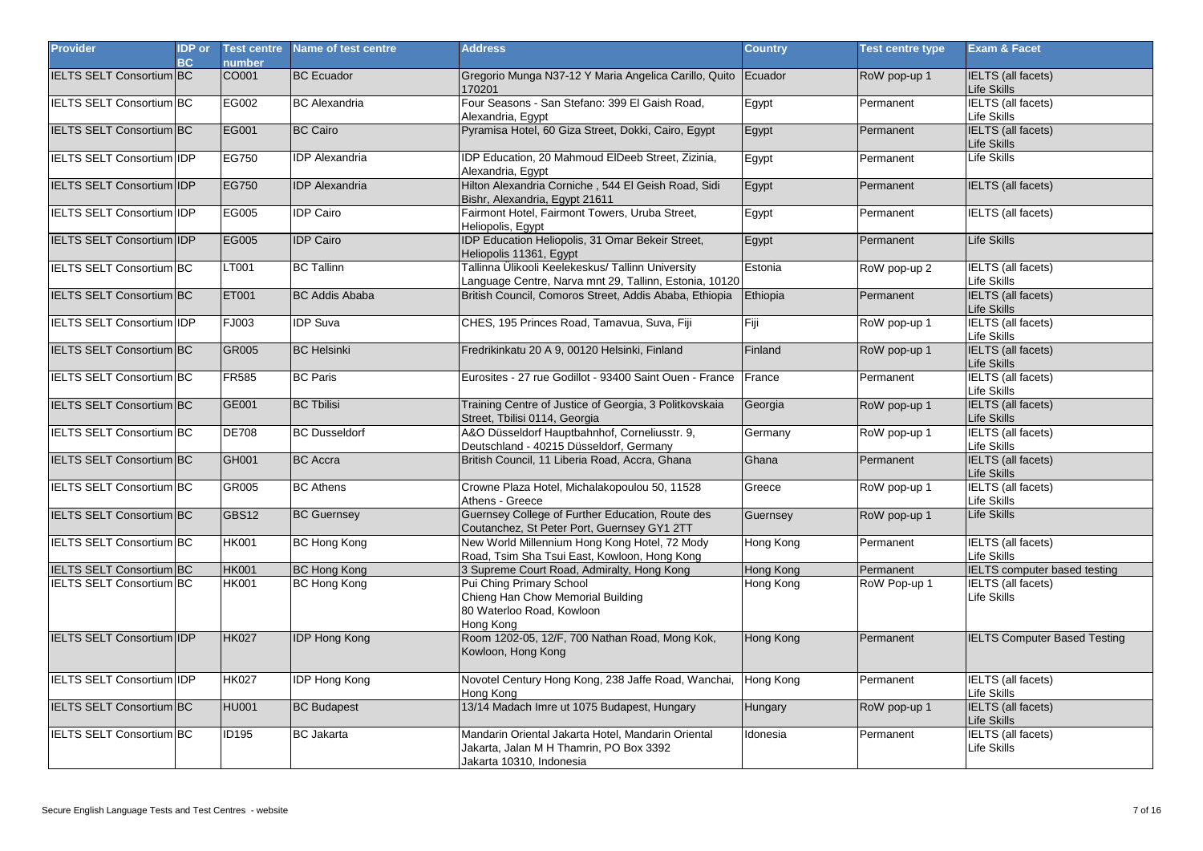| <b>Provider</b>                   | <b>IDP</b> or<br><b>BC</b> | <b>Test centre</b><br>number | <b>Name of test centre</b> | <b>Address</b>                                                                                                            | <b>Country</b> | <b>Test centre type</b> | <b>Exam &amp; Facet</b>                  |
|-----------------------------------|----------------------------|------------------------------|----------------------------|---------------------------------------------------------------------------------------------------------------------------|----------------|-------------------------|------------------------------------------|
| <b>IELTS SELT Consortium BC</b>   |                            | CO001                        | <b>BC</b> Ecuador          | Gregorio Munga N37-12 Y Maria Angelica Carillo, Quito Ecuador<br>170201                                                   |                | RoW pop-up 1            | <b>IELTS</b> (all facets)<br>Life Skills |
| <b>IELTS SELT Consortium BC</b>   |                            | EG002                        | <b>BC</b> Alexandria       | Four Seasons - San Stefano: 399 El Gaish Road,<br>Alexandria, Egypt                                                       | Egypt          | Permanent               | <b>IELTS</b> (all facets)<br>Life Skills |
| <b>IELTS SELT Consortium BC</b>   |                            | EG001                        | <b>BC Cairo</b>            | Pyramisa Hotel, 60 Giza Street, Dokki, Cairo, Egypt                                                                       | Egypt          | Permanent               | <b>IELTS</b> (all facets)<br>Life Skills |
| IELTS SELT Consortium IDP         |                            | EG750                        | <b>IDP</b> Alexandria      | IDP Education, 20 Mahmoud ElDeeb Street, Zizinia,<br>Alexandria, Egypt                                                    | Egypt          | Permanent               | Life Skills                              |
| <b>IELTS SELT Consortium IDP</b>  |                            | EG750                        | <b>IDP</b> Alexandria      | Hilton Alexandria Corniche, 544 El Geish Road, Sidi<br>Bishr, Alexandria, Egypt 21611                                     | Egypt          | Permanent               | <b>IELTS</b> (all facets)                |
| <b>IELTS SELT Consortium IDP</b>  |                            | EG005                        | <b>IDP</b> Cairo           | Fairmont Hotel, Fairmont Towers, Uruba Street,<br>Heliopolis, Egypt                                                       | Egypt          | Permanent               | <b>IELTS</b> (all facets)                |
| <b>IELTS SELT Consortium IIDP</b> |                            | EG005                        | <b>IDP Cairo</b>           | IDP Education Heliopolis, 31 Omar Bekeir Street,<br>Heliopolis 11361, Egypt                                               | Egypt          | Permanent               | Life Skills                              |
| <b>IELTS SELT Consortium BC</b>   |                            | LT001                        | <b>BC Tallinn</b>          | Tallinna Ülikooli Keelekeskus/ Tallinn University<br>Language Centre, Narva mnt 29, Tallinn, Estonia, 10120               | Estonia        | RoW pop-up 2            | <b>IELTS</b> (all facets)<br>Life Skills |
| <b>IELTS SELT Consortium BC</b>   |                            | <b>ET001</b>                 | <b>BC Addis Ababa</b>      | British Council, Comoros Street, Addis Ababa, Ethiopia                                                                    | Ethiopia       | Permanent               | <b>IELTS</b> (all facets)<br>Life Skills |
| <b>IELTS SELT Consortium IDP</b>  |                            | FJ003                        | <b>IDP Suva</b>            | CHES, 195 Princes Road, Tamavua, Suva, Fiji                                                                               | Fiji           | RoW pop-up 1            | <b>IELTS</b> (all facets)<br>Life Skills |
| <b>IELTS SELT Consortium BC</b>   |                            | <b>GR005</b>                 | <b>BC Helsinki</b>         | Fredrikinkatu 20 A 9, 00120 Helsinki, Finland                                                                             | Finland        | RoW pop-up 1            | <b>IELTS</b> (all facets)<br>Life Skills |
| IELTS SELT Consortium BC          |                            | <b>FR585</b>                 | <b>BC Paris</b>            | Eurosites - 27 rue Godillot - 93400 Saint Ouen - France                                                                   | France         | Permanent               | <b>IELTS</b> (all facets)<br>Life Skills |
| <b>IELTS SELT Consortium BC</b>   |                            | GE001                        | <b>BC Tbilisi</b>          | Training Centre of Justice of Georgia, 3 Politkovskaia<br>Street, Tbilisi 0114, Georgia                                   | Georgia        | RoW pop-up 1            | <b>IELTS</b> (all facets)<br>Life Skills |
| <b>IELTS SELT Consortium BC</b>   |                            | <b>DE708</b>                 | <b>BC</b> Dusseldorf       | A&O Düsseldorf Hauptbahnhof, Corneliusstr. 9,<br>Deutschland - 40215 Düsseldorf, Germany                                  | Germany        | RoW pop-up 1            | <b>IELTS</b> (all facets)<br>Life Skills |
| <b>IELTS SELT Consortium BC</b>   |                            | GH001                        | <b>BC</b> Accra            | British Council, 11 Liberia Road, Accra, Ghana                                                                            | Ghana          | Permanent               | <b>IELTS</b> (all facets)<br>Life Skills |
| <b>IELTS SELT Consortium BC</b>   |                            | GR005                        | <b>BC</b> Athens           | Crowne Plaza Hotel, Michalakopoulou 50, 11528<br>Athens - Greece                                                          | Greece         | RoW pop-up 1            | <b>IELTS</b> (all facets)<br>Life Skills |
| <b>IELTS SELT Consortium BC</b>   |                            | GBS12                        | <b>BC Guernsey</b>         | Guernsey College of Further Education, Route des<br>Coutanchez, St Peter Port, Guernsey GY1 2TT                           | Guernsey       | RoW pop-up 1            | <b>Life Skills</b>                       |
| <b>IELTS SELT Consortium BC</b>   |                            | <b>HK001</b>                 | <b>BC Hong Kong</b>        | New World Millennium Hong Kong Hotel, 72 Mody<br>Road, Tsim Sha Tsui East, Kowloon, Hong Kong                             | Hong Kong      | Permanent               | IELTS (all facets)<br>Life Skills        |
| IELTS SELT Consortium BC          |                            | <b>HK001</b>                 | <b>BC Hong Kong</b>        | 3 Supreme Court Road, Admiralty, Hong Kong                                                                                | Hong Kong      | Permanent               | <b>IELTS</b> computer based testing      |
| IELTS SELT Consortium BC          |                            | <b>HK001</b>                 | <b>BC Hong Kong</b>        | Pui Ching Primary School<br>Chieng Han Chow Memorial Building<br>80 Waterloo Road, Kowloon<br>Hong Kong                   | Hong Kong      | RoW Pop-up 1            | <b>IELTS</b> (all facets)<br>Life Skills |
| <b>IELTS SELT Consortium IDP</b>  |                            | <b>HK027</b>                 | <b>IDP Hong Kong</b>       | Room 1202-05, 12/F, 700 Nathan Road, Mong Kok,<br>Kowloon, Hong Kong                                                      | Hong Kong      | Permanent               | <b>IELTS Computer Based Testing</b>      |
| <b>IELTS SELT Consortium IDP</b>  |                            | <b>HK027</b>                 | <b>IDP Hong Kong</b>       | Novotel Century Hong Kong, 238 Jaffe Road, Wanchai,<br>Hong Kong                                                          | Hong Kong      | Permanent               | <b>IELTS</b> (all facets)<br>Life Skills |
| IELTS SELT Consortium BC          |                            | <b>HU001</b>                 | <b>BC Budapest</b>         | 13/14 Madach Imre ut 1075 Budapest, Hungary                                                                               | Hungary        | RoW pop-up 1            | <b>IELTS</b> (all facets)<br>Life Skills |
| IELTS SELT Consortium BC          |                            | <b>ID195</b>                 | <b>BC</b> Jakarta          | Mandarin Oriental Jakarta Hotel, Mandarin Oriental<br>Jakarta, Jalan M H Thamrin, PO Box 3392<br>Jakarta 10310, Indonesia | Idonesia       | Permanent               | <b>IELTS</b> (all facets)<br>Life Skills |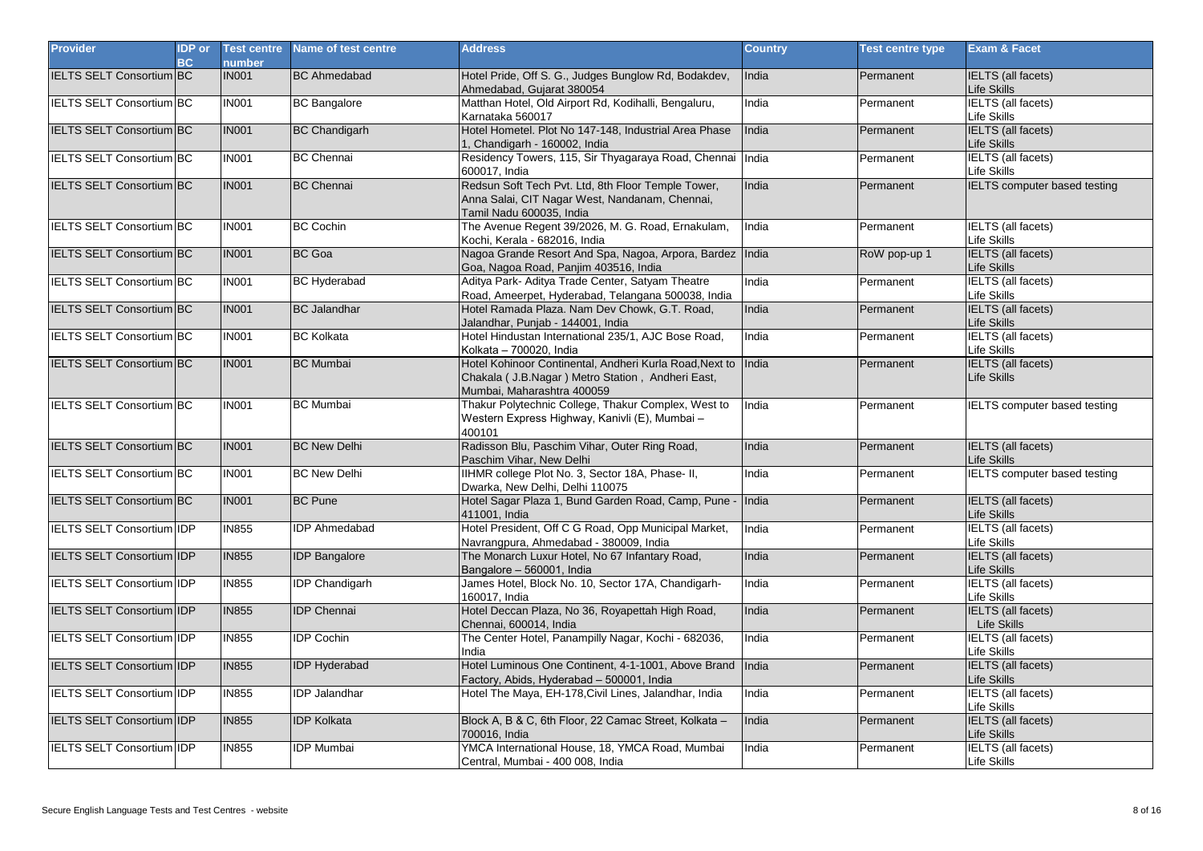| <b>Provider</b>                  | <b>IDP</b> or<br><b>BC</b> | <b>Test centre</b><br>number | Name of test centre   | <b>Address</b>                                                                                                                              | <b>Country</b> | <b>Test centre type</b> | Exam & Facet                             |
|----------------------------------|----------------------------|------------------------------|-----------------------|---------------------------------------------------------------------------------------------------------------------------------------------|----------------|-------------------------|------------------------------------------|
| <b>IELTS SELT Consortium BC</b>  |                            | <b>IN001</b>                 | <b>BC</b> Ahmedabad   | Hotel Pride, Off S. G., Judges Bunglow Rd, Bodakdev,<br>Ahmedabad, Gujarat 380054                                                           | India          | Permanent               | IELTS (all facets)<br>Life Skills        |
| <b>IELTS SELT Consortium BC</b>  |                            | <b>IN001</b>                 | <b>BC</b> Bangalore   | Matthan Hotel, Old Airport Rd, Kodihalli, Bengaluru,<br>Karnataka 560017                                                                    | India          | Permanent               | <b>IELTS</b> (all facets)<br>Life Skills |
| <b>IELTS SELT Consortium BC</b>  |                            | <b>IN001</b>                 | <b>BC Chandigarh</b>  | Hotel Hometel. Plot No 147-148, Industrial Area Phase<br>1, Chandigarh - 160002, India                                                      | India          | Permanent               | <b>IELTS</b> (all facets)<br>Life Skills |
| IELTS SELT Consortium BC         |                            | <b>IN001</b>                 | <b>BC</b> Chennai     | Residency Towers, 115, Sir Thyagaraya Road, Chennai India<br>600017, India                                                                  |                | Permanent               | <b>IELTS</b> (all facets)<br>Life Skills |
| <b>IELTS SELT Consortium BC</b>  |                            | <b>IN001</b>                 | <b>BC</b> Chennai     | Redsun Soft Tech Pvt. Ltd, 8th Floor Temple Tower,<br>Anna Salai, CIT Nagar West, Nandanam, Chennai,<br>Tamil Nadu 600035, India            | India          | Permanent               | <b>IELTS</b> computer based testing      |
| IELTS SELT Consortium BC         |                            | <b>IN001</b>                 | <b>BC Cochin</b>      | The Avenue Regent 39/2026, M. G. Road, Ernakulam,<br>Kochi, Kerala - 682016, India                                                          | India          | Permanent               | <b>IELTS</b> (all facets)<br>Life Skills |
| <b>IELTS SELT Consortium BC</b>  |                            | <b>IN001</b>                 | <b>BC</b> Goa         | Nagoa Grande Resort And Spa, Nagoa, Arpora, Bardez India<br>Goa, Nagoa Road, Panjim 403516, India                                           |                | RoW pop-up 1            | <b>IELTS</b> (all facets)<br>Life Skills |
| <b>IELTS SELT Consortium BC</b>  |                            | <b>IN001</b>                 | <b>BC Hyderabad</b>   | Aditya Park- Aditya Trade Center, Satyam Theatre<br>Road, Ameerpet, Hyderabad, Telangana 500038, India                                      | India          | Permanent               | <b>IELTS</b> (all facets)<br>Life Skills |
| <b>IELTS SELT Consortium BC</b>  |                            | <b>IN001</b>                 | <b>BC</b> Jalandhar   | Hotel Ramada Plaza. Nam Dev Chowk, G.T. Road,<br>Jalandhar, Punjab - 144001, India                                                          | India          | Permanent               | <b>IELTS</b> (all facets)<br>Life Skills |
| <b>IELTS SELT Consortium BC</b>  |                            | <b>IN001</b>                 | <b>BC Kolkata</b>     | Hotel Hindustan International 235/1, AJC Bose Road,<br>Kolkata - 700020, India                                                              | India          | Permanent               | <b>IELTS</b> (all facets)<br>Life Skills |
| <b>IELTS SELT Consortium BC</b>  |                            | <b>IN001</b>                 | <b>BC</b> Mumbai      | Hotel Kohinoor Continental, Andheri Kurla Road, Next to<br>Chakala ( J.B.Nagar ) Metro Station, Andheri East,<br>Mumbai, Maharashtra 400059 | India          | Permanent               | <b>IELTS</b> (all facets)<br>Life Skills |
| <b>IELTS SELT Consortium BC</b>  |                            | <b>IN001</b>                 | <b>BC</b> Mumbai      | Thakur Polytechnic College, Thakur Complex, West to<br>Western Express Highway, Kanivli (E), Mumbai -<br>400101                             | India          | Permanent               | <b>IELTS computer based testing</b>      |
| IELTS SELT Consortium BC         |                            | <b>IN001</b>                 | <b>BC New Delhi</b>   | Radisson Blu, Paschim Vihar, Outer Ring Road,<br>Paschim Vihar, New Delhi                                                                   | India          | Permanent               | <b>IELTS</b> (all facets)<br>Life Skills |
| IELTS SELT Consortium BC         |                            | <b>IN001</b>                 | <b>BC New Delhi</b>   | IIHMR college Plot No. 3, Sector 18A, Phase- II,<br>Dwarka, New Delhi, Delhi 110075                                                         | India          | Permanent               | <b>IELTS</b> computer based testing      |
| <b>IELTS SELT Consortium BC</b>  |                            | <b>IN001</b>                 | <b>BC</b> Pune        | Hotel Sagar Plaza 1, Bund Garden Road, Camp, Pune -<br>411001, India                                                                        | India          | Permanent               | <b>IELTS</b> (all facets)<br>Life Skills |
| <b>IELTS SELT Consortium IDP</b> |                            | <b>IN855</b>                 | <b>IDP Ahmedabad</b>  | Hotel President, Off C G Road, Opp Municipal Market,<br>Navrangpura, Ahmedabad - 380009, India                                              | India          | Permanent               | <b>IELTS</b> (all facets)<br>Life Skills |
| IELTS SELT Consortium IDP        |                            | <b>IN855</b>                 | <b>IDP</b> Bangalore  | The Monarch Luxur Hotel, No 67 Infantary Road,<br>Bangalore - 560001, India                                                                 | India          | Permanent               | <b>IELTS</b> (all facets)<br>Life Skills |
| <b>IELTS SELT Consortium IDP</b> |                            | <b>IN855</b>                 | <b>IDP Chandigarh</b> | James Hotel, Block No. 10, Sector 17A, Chandigarh-<br>160017, India                                                                         | India          | Permanent               | <b>IELTS</b> (all facets)<br>Life Skills |
| IELTS SELT Consortium IDP        |                            | <b>IN855</b>                 | <b>IDP</b> Chennai    | Hotel Deccan Plaza, No 36, Royapettah High Road,<br>Chennai, 600014, India                                                                  | India          | Permanent               | <b>IELTS</b> (all facets)<br>Life Skills |
| <b>IELTS SELT Consortium IDP</b> |                            | <b>IN855</b>                 | <b>IDP Cochin</b>     | The Center Hotel, Panampilly Nagar, Kochi - 682036,<br>India                                                                                | India          | Permanent               | <b>IELTS</b> (all facets)<br>_ife Skills |
| IELTS SELT Consortium IDP        |                            | <b>IN855</b>                 | <b>IDP Hyderabad</b>  | Hotel Luminous One Continent, 4-1-1001, Above Brand<br>Factory, Abids, Hyderabad - 500001, India                                            | India          | Permanent               | <b>IELTS (all facets)</b><br>Life Skills |
| <b>IELTS SELT Consortium IDP</b> |                            | <b>IN855</b>                 | <b>IDP Jalandhar</b>  | Hotel The Maya, EH-178, Civil Lines, Jalandhar, India                                                                                       | India          | Permanent               | <b>IELTS</b> (all facets)<br>Life Skills |
| IELTS SELT Consortium IDP        |                            | <b>IN855</b>                 | <b>IDP Kolkata</b>    | Block A, B & C, 6th Floor, 22 Camac Street, Kolkata -<br>700016, India                                                                      | India          | Permanent               | <b>IELTS</b> (all facets)<br>Life Skills |
| <b>IELTS SELT Consortium IDP</b> |                            | <b>IN855</b>                 | <b>IDP Mumbai</b>     | YMCA International House, 18, YMCA Road, Mumbai<br>Central, Mumbai - 400 008, India                                                         | India          | Permanent               | <b>IELTS</b> (all facets)<br>Life Skills |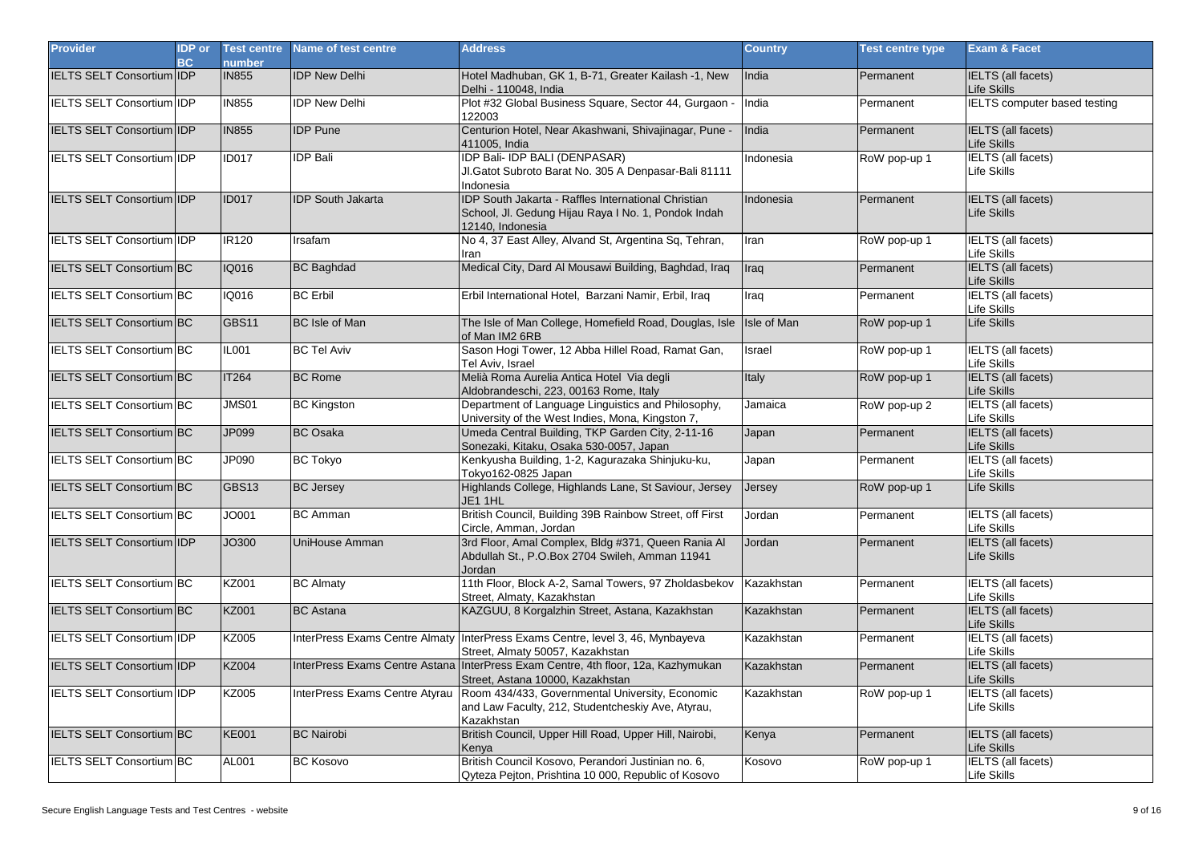| <b>Provider</b>                  | <b>IDP</b> or<br><b>BC</b> | <b>Test centre</b><br>number | Name of test centre            | <b>Address</b>                                                                                                                 | <b>Country</b>     | <b>Test centre type</b> | <b>Exam &amp; Facet</b>                  |
|----------------------------------|----------------------------|------------------------------|--------------------------------|--------------------------------------------------------------------------------------------------------------------------------|--------------------|-------------------------|------------------------------------------|
| IELTS SELT Consortium IDP        |                            | <b>IN855</b>                 | <b>IDP New Delhi</b>           | Hotel Madhuban, GK 1, B-71, Greater Kailash -1, New<br>Delhi - 110048, India                                                   | India              | Permanent               | <b>IELTS</b> (all facets)<br>Life Skills |
| <b>IELTS SELT Consortium IDP</b> |                            | <b>IN855</b>                 | <b>IDP New Delhi</b>           | Plot #32 Global Business Square, Sector 44, Gurgaon -<br>122003                                                                | India              | Permanent               | <b>IELTS</b> computer based testing      |
| <b>IELTS SELT Consortium IDP</b> |                            | <b>IN855</b>                 | <b>IDP</b> Pune                | Centurion Hotel, Near Akashwani, Shivajinagar, Pune -<br>411005, India                                                         | India              | Permanent               | <b>IELTS</b> (all facets)<br>Life Skills |
| IELTS SELT Consortium IIDP       |                            | <b>ID017</b>                 | <b>IDP Bali</b>                | <b>IDP Bali- IDP BALI (DENPASAR)</b><br>Jl.Gatot Subroto Barat No. 305 A Denpasar-Bali 81111<br>Indonesia                      | Indonesia          | RoW pop-up 1            | <b>IELTS</b> (all facets)<br>Life Skills |
| IELTS SELT Consortium IDP        |                            | <b>ID017</b>                 | <b>IDP South Jakarta</b>       | IDP South Jakarta - Raffles International Christian<br>School, Jl. Gedung Hijau Raya I No. 1, Pondok Indah<br>12140, Indonesia | Indonesia          | Permanent               | IELTS (all facets)<br>Life Skills        |
| IELTS SELT Consortium IIDP       |                            | <b>IR120</b>                 | Irsafam                        | No 4, 37 East Alley, Alvand St, Argentina Sq, Tehran,<br>Iran                                                                  | Iran               | RoW pop-up 1            | <b>IELTS</b> (all facets)<br>Life Skills |
| IELTS SELT Consortium BC         |                            | <b>IQ016</b>                 | <b>BC Baghdad</b>              | Medical City, Dard Al Mousawi Building, Baghdad, Irag                                                                          | Iraq               | Permanent               | <b>IELTS</b> (all facets)<br>Life Skills |
| IELTS SELT Consortium BC         |                            | IQ016                        | <b>BC</b> Erbil                | Erbil International Hotel, Barzani Namir, Erbil, Iraq                                                                          | Iraq               | Permanent               | <b>IELTS</b> (all facets)<br>Life Skills |
| IELTS SELT Consortium BC         |                            | GBS11                        | <b>BC</b> Isle of Man          | The Isle of Man College, Homefield Road, Douglas, Isle<br>of Man IM2 6RB                                                       | <b>Isle of Man</b> | RoW pop-up 1            | Life Skills                              |
| IELTS SELT Consortium BC         |                            | <b>IL001</b>                 | <b>BC Tel Aviv</b>             | Sason Hogi Tower, 12 Abba Hillel Road, Ramat Gan,<br>Tel Aviv, Israel                                                          | Israel             | RoW pop-up 1            | IELTS (all facets)<br>Life Skills        |
| IELTS SELT Consortium BC         |                            | <b>IT264</b>                 | <b>BC Rome</b>                 | Melià Roma Aurelia Antica Hotel Via degli<br>Aldobrandeschi, 223, 00163 Rome, Italy                                            | Italy              | RoW pop-up 1            | <b>IELTS</b> (all facets)<br>Life Skills |
| <b>IELTS SELT Consortium BC</b>  |                            | <b>JMS01</b>                 | <b>BC Kingston</b>             | Department of Language Linguistics and Philosophy,<br>University of the West Indies, Mona, Kingston 7,                         | Jamaica            | RoW pop-up 2            | <b>IELTS</b> (all facets)<br>Life Skills |
| IELTS SELT Consortium BC         |                            | JP099                        | <b>BC</b> Osaka                | Umeda Central Building, TKP Garden City, 2-11-16<br>Sonezaki, Kitaku, Osaka 530-0057, Japan                                    | Japan              | Permanent               | <b>IELTS</b> (all facets)<br>Life Skills |
| IELTS SELT Consortium BC         |                            | JP090                        | <b>BC Tokyo</b>                | Kenkyusha Building, 1-2, Kagurazaka Shinjuku-ku,<br>Tokyo162-0825 Japan                                                        | Japan              | Permanent               | <b>IELTS</b> (all facets)<br>Life Skills |
| IELTS SELT Consortium BC         |                            | GBS13                        | <b>BC Jersey</b>               | Highlands College, Highlands Lane, St Saviour, Jersey<br>JE1 1HL                                                               | Jersey             | RoW pop-up 1            | Life Skills                              |
| IELTS SELT Consortium BC         |                            | JO001                        | <b>BC</b> Amman                | British Council, Building 39B Rainbow Street, off First<br>Circle, Amman, Jordan                                               | Jordan             | Permanent               | <b>IELTS</b> (all facets)<br>Life Skills |
| IELTS SELT Consortium IDP        |                            | JO300                        | UniHouse Amman                 | 3rd Floor, Amal Complex, Bldg #371, Queen Rania Al<br>Abdullah St., P.O.Box 2704 Swileh, Amman 11941<br>Jordan                 | Jordan             | Permanent               | <b>IELTS</b> (all facets)<br>Life Skills |
| <b>IELTS SELT Consortium BC</b>  |                            | <b>KZ001</b>                 | <b>BC Almaty</b>               | 11th Floor, Block A-2, Samal Towers, 97 Zholdasbekov<br>Street, Almaty, Kazakhstan                                             | Kazakhstan         | Permanent               | <b>IELTS</b> (all facets)<br>Life Skills |
| <b>IELTS SELT Consortium BC</b>  |                            | <b>KZ001</b>                 | <b>BC</b> Astana               | KAZGUU, 8 Korgalzhin Street, Astana, Kazakhstan                                                                                | Kazakhstan         | Permanent               | <b>IELTS</b> (all facets)<br>Life Skills |
| IELTS SELT Consortium IDP        |                            | <b>KZ005</b>                 |                                | InterPress Exams Centre Almaty   InterPress Exams Centre, level 3, 46, Mynbayeva<br>Street, Almaty 50057, Kazakhstan           | Kazakhstan         | Permanent               | <b>IELTS</b> (all facets)<br>Life Skills |
| <b>IELTS SELT Consortium IDP</b> |                            | <b>KZ004</b>                 |                                | InterPress Exams Centre Astana InterPress Exam Centre, 4th floor, 12a, Kazhymukan<br>Street, Astana 10000, Kazakhstan          | Kazakhstan         | Permanent               | <b>IELTS</b> (all facets)<br>Life Skills |
| IELTS SELT Consortium IIDP       |                            | KZ005                        | InterPress Exams Centre Atyrau | Room 434/433, Governmental University, Economic<br>and Law Faculty, 212, Studentcheskiy Ave, Atyrau,<br>Kazakhstan             | Kazakhstan         | RoW pop-up 1            | <b>IELTS</b> (all facets)<br>Life Skills |
| IELTS SELT Consortium BC         |                            | <b>KE001</b>                 | <b>BC Nairobi</b>              | British Council, Upper Hill Road, Upper Hill, Nairobi,<br>Kenya                                                                | Kenya              | Permanent               | <b>IELTS</b> (all facets)<br>Life Skills |
| <b>IELTS SELT Consortium BC</b>  |                            | AL001                        | <b>BC Kosovo</b>               | British Council Kosovo, Perandori Justinian no. 6,<br>Qyteza Pejton, Prishtina 10 000, Republic of Kosovo                      | Kosovo             | RoW pop-up 1            | <b>IELTS</b> (all facets)<br>Life Skills |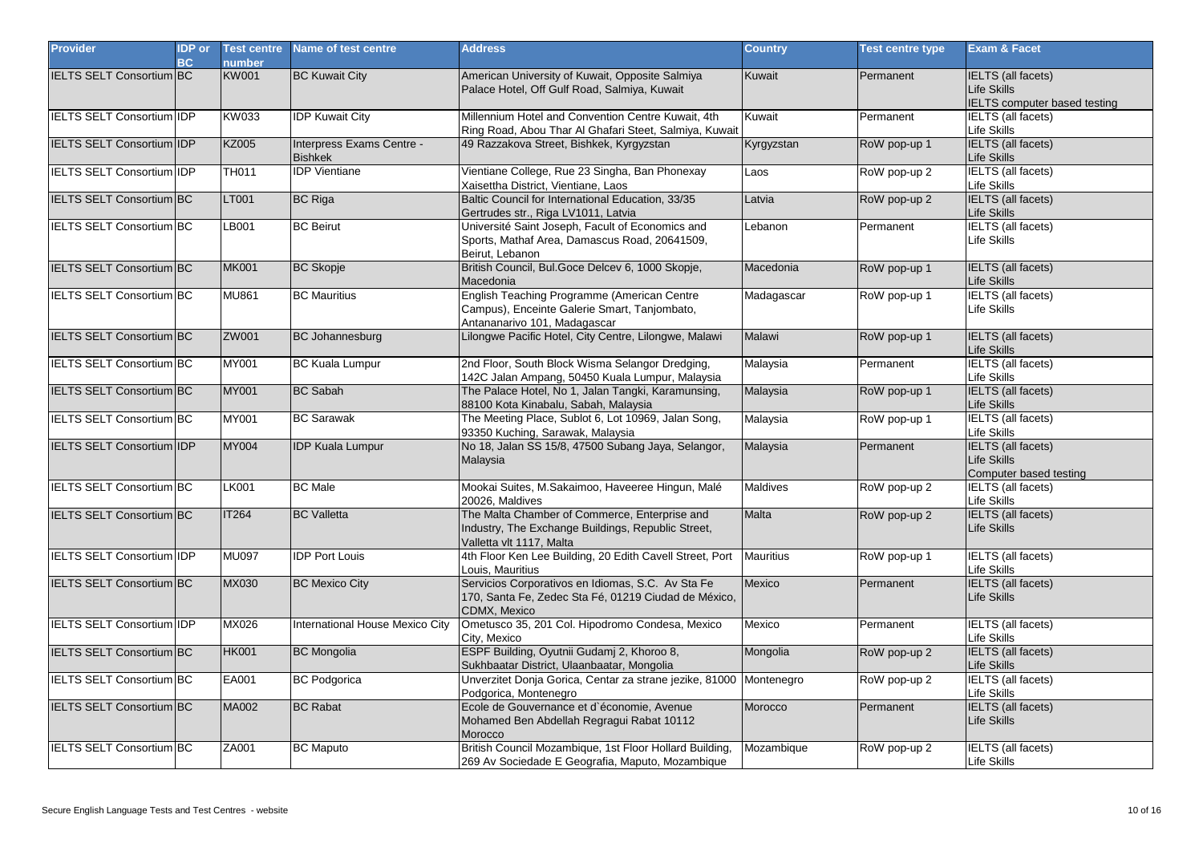| <b>Provider</b>                  | <b>IDP</b> or<br>BC | <b>Test centre</b><br>number | Name of test centre                         | <b>Address</b>                                                                                                                  | <b>Country</b>   | <b>Test centre type</b> | <b>Exam &amp; Facet</b>                                            |
|----------------------------------|---------------------|------------------------------|---------------------------------------------|---------------------------------------------------------------------------------------------------------------------------------|------------------|-------------------------|--------------------------------------------------------------------|
| <b>IELTS SELT Consortium BC</b>  |                     | <b>KW001</b>                 | <b>BC Kuwait City</b>                       | American University of Kuwait, Opposite Salmiya<br>Palace Hotel, Off Gulf Road, Salmiya, Kuwait                                 | Kuwait           | Permanent               | IELTS (all facets)<br>Life Skills<br>IELTS computer based testing  |
| IELTS SELT Consortium IIDP       |                     | KW033                        | <b>IDP Kuwait City</b>                      | Millennium Hotel and Convention Centre Kuwait, 4th<br>Ring Road, Abou Thar Al Ghafari Steet, Salmiya, Kuwait                    | Kuwait           | Permanent               | <b>IELTS</b> (all facets)<br>Life Skills                           |
| IELTS SELT Consortium IDP        |                     | <b>KZ005</b>                 | Interpress Exams Centre -<br><b>Bishkek</b> | 49 Razzakova Street, Bishkek, Kyrgyzstan                                                                                        | Kyrgyzstan       | RoW pop-up 1            | <b>IELTS</b> (all facets)<br>Life Skills                           |
| <b>IELTS SELT Consortium IDP</b> |                     | <b>TH011</b>                 | <b>IDP</b> Vientiane                        | Vientiane College, Rue 23 Singha, Ban Phonexay<br>Xaisettha District, Vientiane, Laos                                           | Laos             | RoW pop-up 2            | <b>IELTS</b> (all facets)<br>Life Skills                           |
| <b>IELTS SELT Consortium BC</b>  |                     | LT001                        | <b>BC Riga</b>                              | Baltic Council for International Education, 33/35<br>Gertrudes str., Riga LV1011, Latvia                                        | Latvia           | RoW pop-up 2            | <b>IELTS</b> (all facets)<br>Life Skills                           |
| IELTS SELT Consortium BC         |                     | LB001                        | <b>BC Beirut</b>                            | Université Saint Joseph, Facult of Economics and<br>Sports, Mathaf Area, Damascus Road, 20641509,<br>Beirut, Lebanon            | Lebanon          | Permanent               | <b>IELTS</b> (all facets)<br>Life Skills                           |
| <b>IELTS SELT Consortium BC</b>  |                     | <b>MK001</b>                 | <b>BC Skopje</b>                            | British Council, Bul.Goce Delcev 6, 1000 Skopje,<br>Macedonia                                                                   | Macedonia        | RoW pop-up 1            | <b>IELTS</b> (all facets)<br>Life Skills                           |
| <b>IELTS SELT Consortium BC</b>  |                     | <b>MU861</b>                 | <b>BC</b> Mauritius                         | English Teaching Programme (American Centre<br>Campus), Enceinte Galerie Smart, Tanjombato,<br>Antananarivo 101, Madagascar     | Madagascar       | RoW pop-up 1            | <b>IELTS</b> (all facets)<br>Life Skills                           |
| <b>IELTS SELT Consortium BC</b>  |                     | ZW001                        | <b>BC Johannesburg</b>                      | Lilongwe Pacific Hotel, City Centre, Lilongwe, Malawi                                                                           | Malawi           | RoW pop-up 1            | IELTS (all facets)<br>Life Skills                                  |
| IELTS SELT Consortium BC         |                     | <b>MY001</b>                 | <b>BC Kuala Lumpur</b>                      | 2nd Floor, South Block Wisma Selangor Dredging,<br>142C Jalan Ampang, 50450 Kuala Lumpur, Malaysia                              | Malaysia         | Permanent               | <b>IELTS</b> (all facets)<br>Life Skills                           |
| <b>IELTS SELT Consortium BC</b>  |                     | <b>MY001</b>                 | <b>BC Sabah</b>                             | The Palace Hotel, No 1, Jalan Tangki, Karamunsing,<br>88100 Kota Kinabalu, Sabah, Malaysia                                      | Malaysia         | RoW pop-up 1            | <b>IELTS</b> (all facets)<br>Life Skills                           |
| <b>IELTS SELT Consortium BC</b>  |                     | MY001                        | <b>BC Sarawak</b>                           | The Meeting Place, Sublot 6, Lot 10969, Jalan Song,<br>93350 Kuching, Sarawak, Malaysia                                         | Malaysia         | RoW pop-up 1            | <b>IELTS</b> (all facets)<br>Life Skills                           |
| IELTS SELT Consortium IDP        |                     | <b>MY004</b>                 | <b>IDP Kuala Lumpur</b>                     | No 18, Jalan SS 15/8, 47500 Subang Jaya, Selangor,<br>Malaysia                                                                  | Malaysia         | Permanent               | <b>IELTS</b> (all facets)<br>Life Skills<br>Computer based testing |
| <b>IELTS SELT Consortium BC</b>  |                     | <b>LK001</b>                 | <b>BC</b> Male                              | Mookai Suites, M.Sakaimoo, Haveeree Hingun, Malé<br>20026. Maldives                                                             | Maldives         | RoW pop-up 2            | <b>IELTS</b> (all facets)<br>Life Skills                           |
| <b>IELTS SELT Consortium BC</b>  |                     | <b>IT264</b>                 | <b>BC</b> Valletta                          | The Malta Chamber of Commerce, Enterprise and<br>Industry, The Exchange Buildings, Republic Street,<br>Valletta vlt 1117, Malta | <b>Malta</b>     | RoW pop-up 2            | <b>IELTS</b> (all facets)<br>Life Skills                           |
| <b>IELTS SELT Consortium IDP</b> |                     | <b>MU097</b>                 | <b>IDP Port Louis</b>                       | 4th Floor Ken Lee Building, 20 Edith Cavell Street, Port<br>Louis, Mauritius                                                    | <b>Mauritius</b> | RoW pop-up 1            | <b>IELTS</b> (all facets)<br>Life Skills                           |
| <b>IELTS SELT Consortium BC</b>  |                     | MX030                        | <b>BC Mexico City</b>                       | Servicios Corporativos en Idiomas, S.C. Av Sta Fe<br>170, Santa Fe, Zedec Sta Fé, 01219 Ciudad de México,<br>CDMX. Mexico       | Mexico           | Permanent               | <b>IELTS</b> (all facets)<br>Life Skills                           |
| <b>IELTS SELT Consortium IDP</b> |                     | MX026                        | <b>International House Mexico City</b>      | Ometusco 35, 201 Col. Hipodromo Condesa, Mexico<br>City, Mexico                                                                 | Mexico           | Permanent               | <b>IELTS</b> (all facets)<br>Life Skills                           |
| <b>IELTS SELT Consortium BC</b>  |                     | <b>HK001</b>                 | <b>BC Mongolia</b>                          | ESPF Building, Oyutnii Gudamj 2, Khoroo 8,<br>Sukhbaatar District, Ulaanbaatar, Mongolia                                        | Mongolia         | RoW pop-up 2            | <b>IELTS</b> (all facets)<br>Life Skills                           |
| IELTS SELT Consortium BC         |                     | EA001                        | <b>BC Podgorica</b>                         | Unverzitet Donja Gorica, Centar za strane jezike, 81000 Montenegro<br>Podgorica, Montenegro                                     |                  | RoW pop-up 2            | <b>IELTS</b> (all facets)<br>Life Skills                           |
| <b>IELTS SELT Consortium BC</b>  |                     | MA002                        | <b>BC Rabat</b>                             | Ecole de Gouvernance et d'économie, Avenue<br>Mohamed Ben Abdellah Regragui Rabat 10112<br>Morocco                              | Morocco          | Permanent               | <b>IELTS</b> (all facets)<br><b>Life Skills</b>                    |
| <b>IELTS SELT Consortium BC</b>  |                     | ZA001                        | <b>BC Maputo</b>                            | British Council Mozambique, 1st Floor Hollard Building,<br>269 Av Sociedade E Geografia, Maputo, Mozambique                     | Mozambique       | RoW pop-up 2            | <b>IELTS</b> (all facets)<br>Life Skills                           |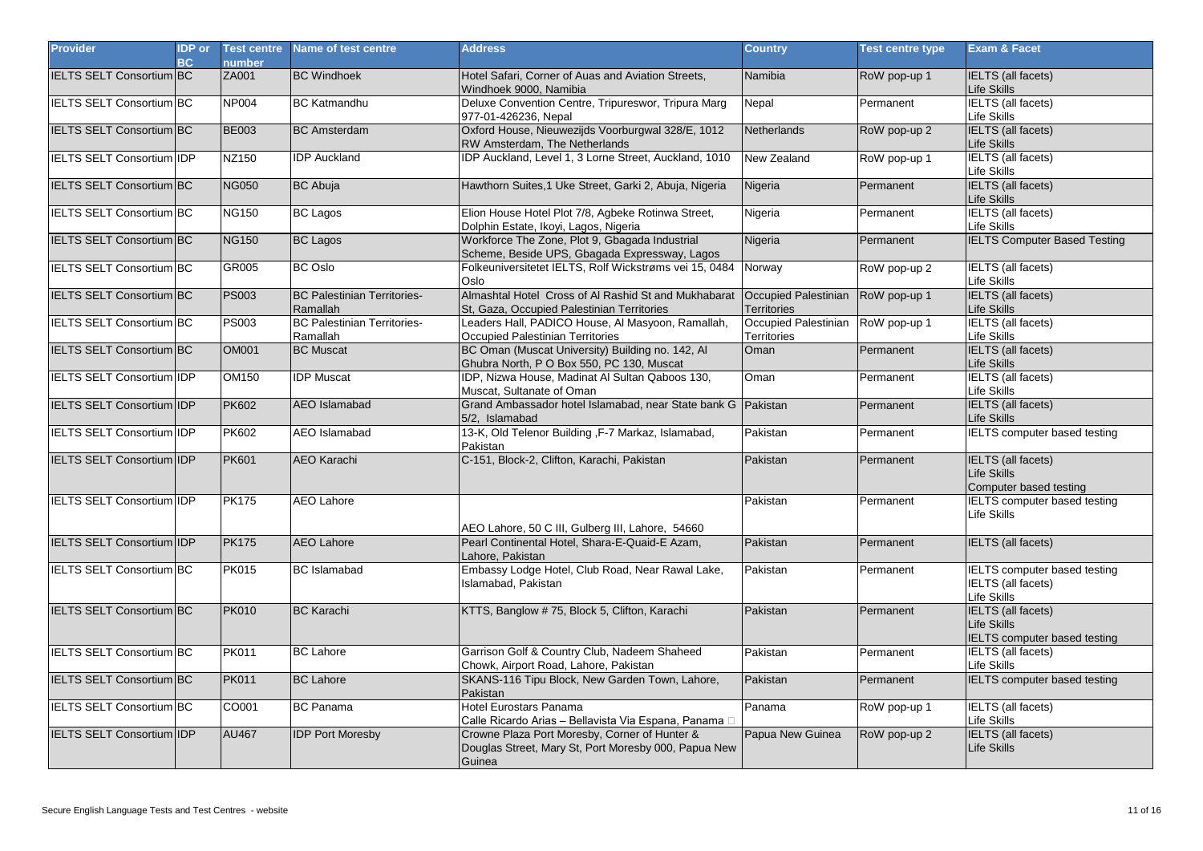| <b>Provider</b>                   | <b>IDP</b> or<br><b>BC</b> | <b>Test centre</b><br>number | Name of test centre                            | <b>Address</b>                                                                                                  | <b>Country</b>                             | <b>Test centre type</b> | <b>Exam &amp; Facet</b>                                                         |
|-----------------------------------|----------------------------|------------------------------|------------------------------------------------|-----------------------------------------------------------------------------------------------------------------|--------------------------------------------|-------------------------|---------------------------------------------------------------------------------|
| <b>IELTS SELT Consortium BC</b>   |                            | ZA001                        | <b>BC Windhoek</b>                             | Hotel Safari, Corner of Auas and Aviation Streets,<br>Windhoek 9000, Namibia                                    | Namibia                                    | RoW pop-up 1            | <b>IELTS</b> (all facets)<br>Life Skills                                        |
| <b>IELTS SELT Consortium BC</b>   |                            | <b>NP004</b>                 | <b>BC Katmandhu</b>                            | Deluxe Convention Centre, Tripureswor, Tripura Marg<br>977-01-426236, Nepal                                     | Nepal                                      | Permanent               | <b>IELTS</b> (all facets)<br>Life Skills                                        |
| <b>IELTS SELT Consortium BC</b>   |                            | <b>BE003</b>                 | <b>BC</b> Amsterdam                            | Oxford House, Nieuwezijds Voorburgwal 328/E, 1012<br>RW Amsterdam, The Netherlands                              | Netherlands                                | RoW pop-up 2            | <b>IELTS</b> (all facets)<br>Life Skills                                        |
| IELTS SELT Consortium IDP         |                            | NZ150                        | <b>IDP Auckland</b>                            | IDP Auckland, Level 1, 3 Lorne Street, Auckland, 1010                                                           | New Zealand                                | RoW pop-up 1            | <b>IELTS</b> (all facets)<br>Life Skills                                        |
| IELTS SELT Consortium BC          |                            | <b>NG050</b>                 | <b>BC Abuja</b>                                | Hawthorn Suites, 1 Uke Street, Garki 2, Abuja, Nigeria                                                          | Nigeria                                    | Permanent               | <b>IELTS</b> (all facets)<br>Life Skills                                        |
| <b>IELTS SELT Consortium BC</b>   |                            | <b>NG150</b>                 | <b>BC Lagos</b>                                | Elion House Hotel Plot 7/8, Agbeke Rotinwa Street,<br>Dolphin Estate, Ikoyi, Lagos, Nigeria                     | Nigeria                                    | Permanent               | <b>IELTS</b> (all facets)<br>Life Skills                                        |
| <b>IELTS SELT Consortium BC</b>   |                            | <b>NG150</b>                 | <b>BC Lagos</b>                                | Workforce The Zone, Plot 9, Gbagada Industrial<br>Scheme, Beside UPS, Gbagada Expressway, Lagos                 | Nigeria                                    | Permanent               | <b>IELTS Computer Based Testing</b>                                             |
| <b>IELTS SELT Consortium BC</b>   |                            | GR005                        | <b>BC</b> Oslo                                 | Folkeuniversitetet IELTS, Rolf Wickstrøms vei 15, 0484<br>Oslo                                                  | Norway                                     | RoW pop-up 2            | <b>IELTS</b> (all facets)<br>Life Skills                                        |
| <b>IELTS SELT Consortium BC</b>   |                            | <b>PS003</b>                 | <b>BC Palestinian Territories-</b><br>Ramallah | Almashtal Hotel Cross of Al Rashid St and Mukhabarat<br>St, Gaza, Occupied Palestinian Territories              | Occupied Palestinian<br><b>Territories</b> | RoW pop-up 1            | <b>IELTS</b> (all facets)<br>Life Skills                                        |
| <b>IELTS SELT Consortium BC</b>   |                            | <b>PS003</b>                 | <b>BC Palestinian Territories-</b><br>Ramallah | Leaders Hall, PADICO House, Al Masyoon, Ramallah,<br>Occupied Palestinian Territories                           | Occupied Palestinian<br>Territories        | RoW pop-up 1            | <b>IELTS</b> (all facets)<br>Life Skills                                        |
| IELTS SELT Consortium BC          |                            | <b>OM001</b>                 | <b>BC Muscat</b>                               | BC Oman (Muscat University) Building no. 142, Al<br>Ghubra North, P O Box 550, PC 130, Muscat                   | Oman                                       | Permanent               | <b>IELTS</b> (all facets)<br>Life Skills                                        |
| IELTS SELT Consortium IIDP        |                            | OM150                        | <b>IDP</b> Muscat                              | IDP, Nizwa House, Madinat Al Sultan Qaboos 130,<br>Muscat, Sultanate of Oman                                    | Oman                                       | Permanent               | <b>IELTS</b> (all facets)<br>Life Skills                                        |
| <b>IELTS SELT Consortium IDP</b>  |                            | <b>PK602</b>                 | <b>AEO</b> Islamabad                           | Grand Ambassador hotel Islamabad, near State bank G Pakistan<br>5/2. Islamabad                                  |                                            | Permanent               | <b>IELTS</b> (all facets)<br>Life Skills                                        |
| IELTS SELT Consortium IDP         |                            | <b>PK602</b>                 | <b>AEO</b> Islamabad                           | 13-K, Old Telenor Building , F-7 Markaz, Islamabad,<br>Pakistan                                                 | Pakistan                                   | Permanent               | <b>IELTS</b> computer based testing                                             |
| <b>IELTS SELT Consortium IDP</b>  |                            | <b>PK601</b>                 | <b>AEO Karachi</b>                             | C-151, Block-2, Clifton, Karachi, Pakistan                                                                      | Pakistan                                   | Permanent               | <b>IELTS</b> (all facets)<br>Life Skills<br>Computer based testing              |
| <b>IELTS SELT Consortium IDP</b>  |                            | <b>PK175</b>                 | <b>AEO Lahore</b>                              | AEO Lahore, 50 C III, Gulberg III, Lahore, 54660                                                                | Pakistan                                   | Permanent               | <b>IELTS</b> computer based testing<br>Life Skills                              |
| IELTS SELT Consortium IDP         |                            | <b>PK175</b>                 | <b>AEO Lahore</b>                              | Pearl Continental Hotel, Shara-E-Quaid-E Azam,<br>Lahore, Pakistan                                              | Pakistan                                   | Permanent               | <b>IELTS</b> (all facets)                                                       |
| <b>IELTS SELT Consortium BC</b>   |                            | <b>PK015</b>                 | <b>BC</b> Islamabad                            | Embassy Lodge Hotel, Club Road, Near Rawal Lake,<br>Islamabad, Pakistan                                         | Pakistan                                   | Permanent               | <b>IELTS computer based testing</b><br><b>IELTS</b> (all facets)<br>Life Skills |
| IELTS SELT Consortium BC          |                            | <b>PK010</b>                 | <b>BC Karachi</b>                              | KTTS, Banglow #75, Block 5, Clifton, Karachi                                                                    | Pakistan                                   | Permanent               | <b>IELTS</b> (all facets)<br>Life Skills<br><b>IELTS</b> computer based testing |
| <b>IELTS SELT Consortium BC</b>   |                            | <b>PK011</b>                 | <b>BC Lahore</b>                               | Garrison Golf & Country Club, Nadeem Shaheed<br>Chowk, Airport Road, Lahore, Pakistan                           | Pakistan                                   | Permanent               | <b>IELTS</b> (all facets)<br>Life Skills                                        |
| IELTS SELT Consortium BC          |                            | <b>PK011</b>                 | <b>BC Lahore</b>                               | SKANS-116 Tipu Block, New Garden Town, Lahore,<br>Pakistan                                                      | Pakistan                                   | Permanent               | <b>IELTS</b> computer based testing                                             |
| IELTS SELT Consortium BC          |                            | CO001                        | <b>BC</b> Panama                               | <b>Hotel Eurostars Panama</b><br>Calle Ricardo Arias - Bellavista Via Espana, Panama D                          | Panama                                     | RoW pop-up 1            | <b>IELTS</b> (all facets)<br>Life Skills                                        |
| <b>IELTS SELT Consortium IIDP</b> |                            | <b>AU467</b>                 | <b>IDP Port Moresby</b>                        | Crowne Plaza Port Moresby, Corner of Hunter &<br>Douglas Street, Mary St, Port Moresby 000, Papua New<br>Guinea | Papua New Guinea                           | RoW pop-up 2            | <b>IELTS</b> (all facets)<br>Life Skills                                        |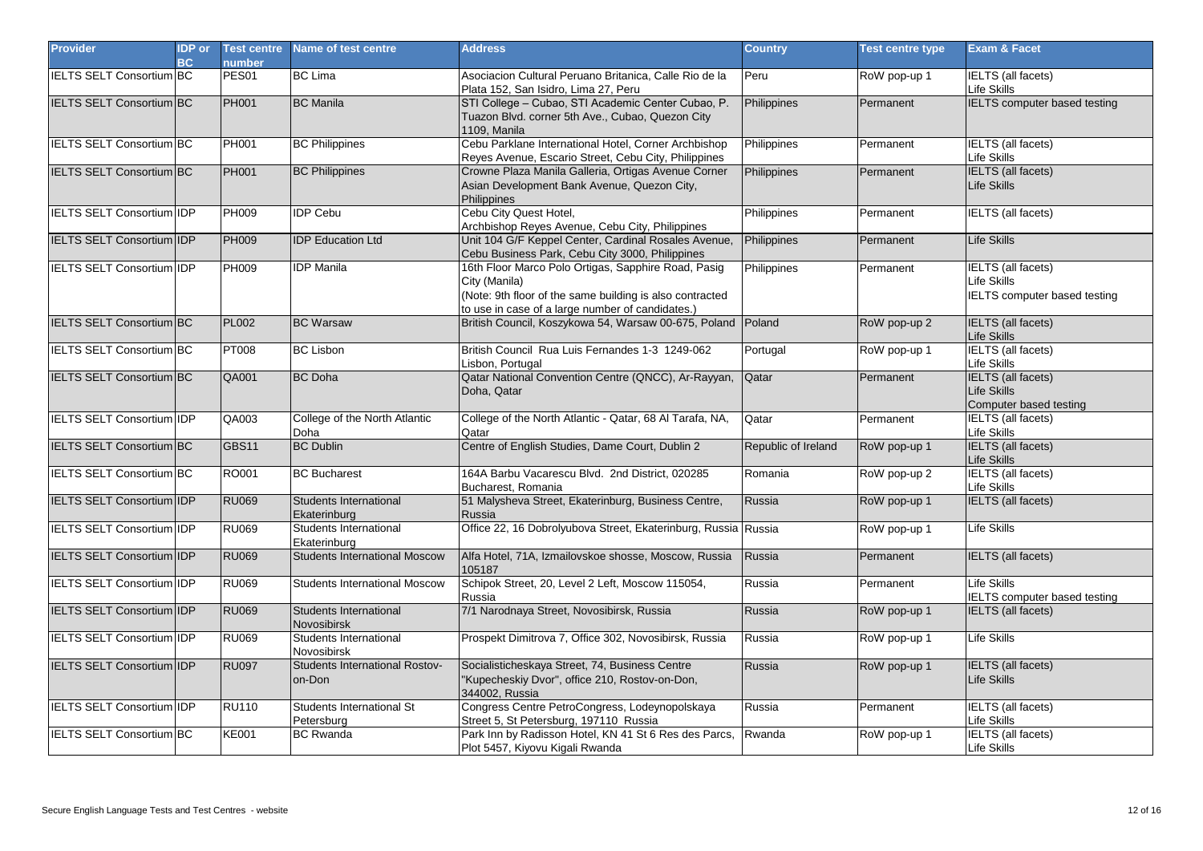| <b>Provider</b>                  | <b>IDP</b> or<br>BC | <b>Test centre</b><br>number | Name of test centre                      | <b>Address</b>                                                                                                                                                                       | <b>Country</b>      | <b>Test centre type</b> | <b>Exam &amp; Facet</b>                                                  |
|----------------------------------|---------------------|------------------------------|------------------------------------------|--------------------------------------------------------------------------------------------------------------------------------------------------------------------------------------|---------------------|-------------------------|--------------------------------------------------------------------------|
| <b>IELTS SELT Consortium BC</b>  |                     | PES <sub>01</sub>            | <b>BC</b> Lima                           | Asociacion Cultural Peruano Britanica, Calle Rio de la<br>Plata 152, San Isidro, Lima 27, Peru                                                                                       | Peru                | RoW pop-up 1            | <b>IELTS</b> (all facets)<br>Life Skills                                 |
| <b>IELTS SELT Consortium BC</b>  |                     | <b>PH001</b>                 | <b>BC</b> Manila                         | STI College - Cubao, STI Academic Center Cubao, P.<br>Tuazon Blvd. corner 5th Ave., Cubao, Quezon City<br>1109. Manila                                                               | Philippines         | Permanent               | <b>IELTS</b> computer based testing                                      |
| <b>IELTS SELT Consortium BC</b>  |                     | PH001                        | <b>BC Philippines</b>                    | Cebu Parklane International Hotel, Corner Archbishop<br>Reyes Avenue, Escario Street, Cebu City, Philippines                                                                         | Philippines         | Permanent               | <b>IELTS</b> (all facets)<br>Life Skills                                 |
| <b>IELTS SELT Consortium BC</b>  |                     | PH001                        | <b>BC Philippines</b>                    | Crowne Plaza Manila Galleria, Ortigas Avenue Corner<br>Asian Development Bank Avenue, Quezon City,<br>Philippines                                                                    | Philippines         | Permanent               | <b>IELTS</b> (all facets)<br>Life Skills                                 |
| <b>IELTS SELT Consortium IDP</b> |                     | <b>PH009</b>                 | <b>IDP Cebu</b>                          | Cebu City Quest Hotel,<br>Archbishop Reyes Avenue, Cebu City, Philippines                                                                                                            | Philippines         | Permanent               | <b>IELTS</b> (all facets)                                                |
| IELTS SELT Consortium IDP        |                     | PH009                        | <b>IDP Education Ltd</b>                 | Unit 104 G/F Keppel Center, Cardinal Rosales Avenue,<br>Cebu Business Park, Cebu City 3000, Philippines                                                                              | Philippines         | Permanent               | Life Skills                                                              |
| IELTS SELT Consortium IDP        |                     | <b>PH009</b>                 | <b>IDP Manila</b>                        | 16th Floor Marco Polo Ortigas, Sapphire Road, Pasig<br>City (Manila)<br>(Note: 9th floor of the same building is also contracted<br>to use in case of a large number of candidates.) | Philippines         | Permanent               | <b>IELTS</b> (all facets)<br>Life Skills<br>IELTS computer based testing |
| <b>IELTS SELT Consortium BC</b>  |                     | <b>PL002</b>                 | <b>BC Warsaw</b>                         | British Council, Koszykowa 54, Warsaw 00-675, Poland Poland                                                                                                                          |                     | RoW pop-up 2            | <b>IELTS</b> (all facets)<br>Life Skills                                 |
| <b>IELTS SELT Consortium BC</b>  |                     | <b>PT008</b>                 | <b>BC Lisbon</b>                         | British Council Rua Luis Fernandes 1-3 1249-062<br>Lisbon, Portugal                                                                                                                  | Portugal            | RoW pop-up 1            | <b>IELTS</b> (all facets)<br>Life Skills                                 |
| <b>IELTS SELT Consortium BC</b>  |                     | <b>QA001</b>                 | <b>BC</b> Doha                           | Qatar National Convention Centre (QNCC), Ar-Rayyan,<br>Doha, Qatar                                                                                                                   | Qatar               | Permanent               | <b>IELTS</b> (all facets)<br>Life Skills<br>Computer based testing       |
| <b>IELTS SELT Consortium IDP</b> |                     | QA003                        | College of the North Atlantic<br>Doha    | College of the North Atlantic - Qatar, 68 Al Tarafa, NA,<br>Qatar                                                                                                                    | Qatar               | Permanent               | <b>IELTS</b> (all facets)<br>Life Skills                                 |
| <b>IELTS SELT Consortium BC</b>  |                     | GBS11                        | <b>BC Dublin</b>                         | Centre of English Studies, Dame Court, Dublin 2                                                                                                                                      | Republic of Ireland | RoW pop-up 1            | <b>IELTS</b> (all facets)<br>Life Skills                                 |
| <b>IELTS SELT Consortium BC</b>  |                     | RO001                        | <b>BC Bucharest</b>                      | 164A Barbu Vacarescu Blvd. 2nd District, 020285<br>Bucharest, Romania                                                                                                                | Romania             | RoW pop-up 2            | <b>IELTS</b> (all facets)<br>Life Skills                                 |
| <b>IELTS SELT Consortium IDP</b> |                     | <b>RU069</b>                 | Students International<br>Ekaterinburg   | 51 Malysheva Street, Ekaterinburg, Business Centre,<br>Russia                                                                                                                        | Russia              | RoW pop-up 1            | <b>IELTS</b> (all facets)                                                |
| <b>IELTS SELT Consortium IDP</b> |                     | <b>RU069</b>                 | Students International<br>Ekaterinburg   | Office 22, 16 Dobrolyubova Street, Ekaterinburg, Russia Russia                                                                                                                       |                     | RoW pop-up 1            | Life Skills                                                              |
| IELTS SELT Consortium IDP        |                     | <b>RU069</b>                 | <b>Students International Moscow</b>     | Alfa Hotel, 71A, Izmailovskoe shosse, Moscow, Russia<br>105187                                                                                                                       | Russia              | Permanent               | IELTS (all facets)                                                       |
| IELTS SELT Consortium IDP        |                     | <b>RU069</b>                 | <b>Students International Moscow</b>     | Schipok Street, 20, Level 2 Left, Moscow 115054,<br>Russia                                                                                                                           | Russia              | Permanent               | Life Skills<br><b>IELTS computer based testing</b>                       |
| <b>IELTS SELT Consortium IDP</b> |                     | <b>RU069</b>                 | Students International<br>Novosibirsk    | 7/1 Narodnaya Street, Novosibirsk, Russia                                                                                                                                            | Russia              | RoW pop-up 1            | <b>IELTS</b> (all facets)                                                |
| <b>IELTS SELT Consortium IDP</b> |                     | <b>RU069</b>                 | Students International<br>Novosibirsk    | Prospekt Dimitrova 7, Office 302, Novosibirsk, Russia                                                                                                                                | Russia              | RoW pop-up 1            | Life Skills                                                              |
| <b>IELTS SELT Consortium IDP</b> |                     | <b>RU097</b>                 | Students International Rostov-<br>on-Don | Socialisticheskaya Street, 74, Business Centre<br>"Kupecheskiy Dvor", office 210, Rostov-on-Don,<br>344002, Russia                                                                   | Russia              | RoW pop-up 1            | <b>IELTS</b> (all facets)<br>Life Skills                                 |
| <b>IELTS SELT Consortium IDP</b> |                     | <b>RU110</b>                 | Students International St<br>Petersburg  | Congress Centre PetroCongress, Lodeynopolskaya<br>Street 5, St Petersburg, 197110 Russia                                                                                             | Russia              | Permanent               | <b>IELTS</b> (all facets)<br>Life Skills                                 |
| <b>IELTS SELT Consortium BC</b>  |                     | <b>KE001</b>                 | <b>BC Rwanda</b>                         | Park Inn by Radisson Hotel, KN 41 St 6 Res des Parcs,<br>Plot 5457, Kiyovu Kigali Rwanda                                                                                             | Rwanda              | RoW pop-up 1            | <b>IELTS</b> (all facets)<br>Life Skills                                 |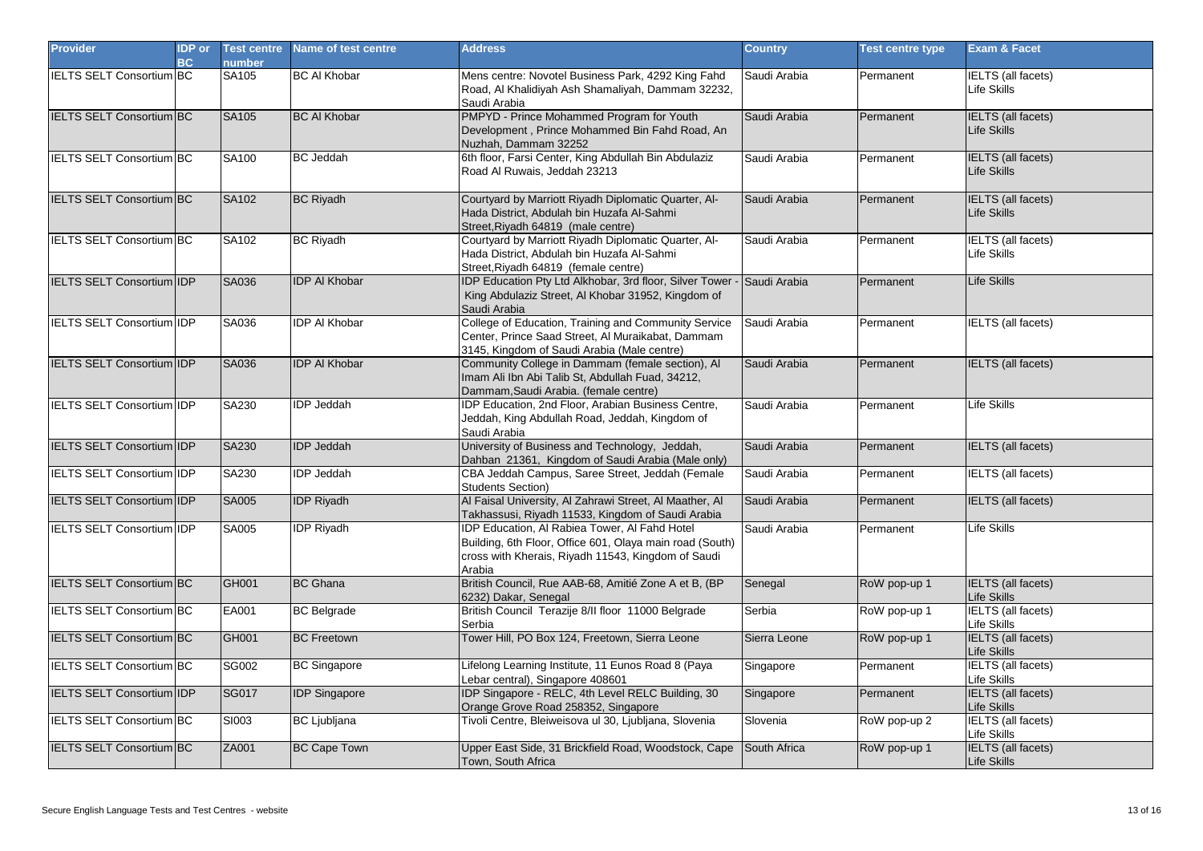| <b>Provider</b>                  | <b>IDP</b> or<br>BC | <b>Test centre</b><br>number | Name of test centre  | <b>Address</b>                                                                                                                                                            | <b>Country</b> | <b>Test centre type</b> | <b>Exam &amp; Facet</b>                        |
|----------------------------------|---------------------|------------------------------|----------------------|---------------------------------------------------------------------------------------------------------------------------------------------------------------------------|----------------|-------------------------|------------------------------------------------|
| <b>IELTS SELT Consortium BC</b>  |                     | SA105                        | <b>BC AI Khobar</b>  | Mens centre: Novotel Business Park, 4292 King Fahd<br>Road, Al Khalidiyah Ash Shamaliyah, Dammam 32232,<br>Saudi Arabia                                                   | Saudi Arabia   | Permanent               | <b>IELTS</b> (all facets)<br>Life Skills       |
| <b>IELTS SELT Consortium BC</b>  |                     | SA105                        | <b>BC AI Khobar</b>  | PMPYD - Prince Mohammed Program for Youth<br>Development, Prince Mohammed Bin Fahd Road, An<br>Nuzhah, Dammam 32252                                                       | Saudi Arabia   | Permanent               | <b>IELTS</b> (all facets)<br>Life Skills       |
| IELTS SELT Consortium BC         |                     | SA100                        | <b>BC</b> Jeddah     | 6th floor, Farsi Center, King Abdullah Bin Abdulaziz<br>Road Al Ruwais, Jeddah 23213                                                                                      | Saudi Arabia   | Permanent               | <b>IELTS</b> (all facets)<br><b>ife Skills</b> |
| IELTS SELT Consortium BC         |                     | SA102                        | <b>BC Riyadh</b>     | Courtyard by Marriott Riyadh Diplomatic Quarter, Al-<br>Hada District, Abdulah bin Huzafa Al-Sahmi<br>Street, Riyadh 64819 (male centre)                                  | Saudi Arabia   | Permanent               | <b>IELTS</b> (all facets)<br>Life Skills       |
| <b>IELTS SELT Consortium BC</b>  |                     | SA102                        | <b>BC Rivadh</b>     | Courtyard by Marriott Riyadh Diplomatic Quarter, Al-<br>Hada District, Abdulah bin Huzafa Al-Sahmi<br>Street, Riyadh 64819 (female centre)                                | Saudi Arabia   | Permanent               | ELTS (all facets)<br>Life Skills               |
| IELTS SELT Consortium IDP        |                     | SA036                        | <b>IDP AI Khobar</b> | IDP Education Pty Ltd Alkhobar, 3rd floor, Silver Tower - Saudi Arabia<br>King Abdulaziz Street, Al Khobar 31952, Kingdom of<br>Saudi Arabia                              |                | Permanent               | Life Skills                                    |
| <b>IELTS SELT Consortium IDP</b> |                     | SA036                        | <b>IDP AI Khobar</b> | College of Education, Training and Community Service<br>Center, Prince Saad Street, Al Muraikabat, Dammam<br>3145, Kingdom of Saudi Arabia (Male centre)                  | Saudi Arabia   | Permanent               | <b>IELTS</b> (all facets)                      |
| IELTS SELT Consortium IDP        |                     | SA036                        | <b>IDP AI Khobar</b> | Community College in Dammam (female section), Al<br>Imam Ali Ibn Abi Talib St, Abdullah Fuad, 34212,<br>Dammam, Saudi Arabia. (female centre)                             | Saudi Arabia   | Permanent               | <b>IELTS</b> (all facets)                      |
| IELTS SELT Consortium IDP        |                     | SA230                        | <b>IDP Jeddah</b>    | IDP Education, 2nd Floor, Arabian Business Centre,<br>Jeddah, King Abdullah Road, Jeddah, Kingdom of<br>Saudi Arabia                                                      | Saudi Arabia   | Permanent               | Life Skills                                    |
| IELTS SELT Consortium IDP        |                     | SA230                        | <b>IDP</b> Jeddah    | University of Business and Technology, Jeddah,<br>Dahban 21361, Kingdom of Saudi Arabia (Male only)                                                                       | Saudi Arabia   | Permanent               | <b>IELTS</b> (all facets)                      |
| <b>IELTS SELT Consortium IDP</b> |                     | SA230                        | <b>IDP Jeddah</b>    | CBA Jeddah Campus, Saree Street, Jeddah (Female<br><b>Students Section)</b>                                                                                               | Saudi Arabia   | Permanent               | <b>IELTS</b> (all facets)                      |
| IELTS SELT Consortium IDP        |                     | <b>SA005</b>                 | <b>IDP Riyadh</b>    | Al Faisal University, Al Zahrawi Street, Al Maather, Al<br>Takhassusi, Riyadh 11533, Kingdom of Saudi Arabia                                                              | Saudi Arabia   | Permanent               | <b>IELTS</b> (all facets)                      |
| IELTS SELT Consortium IDP        |                     | SA005                        | <b>IDP</b> Riyadh    | IDP Education, Al Rabiea Tower, Al Fahd Hotel<br>Building, 6th Floor, Office 601, Olaya main road (South)<br>cross with Kherais, Riyadh 11543, Kingdom of Saudi<br>Arabia | Saudi Arabia   | Permanent               | Life Skills                                    |
| <b>IELTS SELT Consortium BC</b>  |                     | GH001                        | <b>BC</b> Ghana      | British Council, Rue AAB-68, Amitié Zone A et B, (BP<br>6232) Dakar, Senegal                                                                                              | Senegal        | RoW pop-up 1            | <b>IELTS (all facets)</b><br>Life Skills       |
| IELTS SELT Consortium BC         |                     | EA001                        | <b>BC</b> Belgrade   | British Council Terazije 8/II floor 11000 Belgrade<br>Serbia                                                                                                              | Serbia         | RoW pop-up 1            | <b>IELTS</b> (all facets)<br>ife Skills        |
| <b>IELTS SELT Consortium BC</b>  |                     | GH001                        | <b>BC Freetown</b>   | Tower Hill, PO Box 124, Freetown, Sierra Leone                                                                                                                            | Sierra Leone   | RoW pop-up 1            | <b>IELTS</b> (all facets)<br>Life Skills       |
| <b>IELTS SELT Consortium BC</b>  |                     | <b>SG002</b>                 | <b>BC Singapore</b>  | Lifelong Learning Institute, 11 Eunos Road 8 (Paya<br>Lebar central), Singapore 408601                                                                                    | Singapore      | Permanent               | <b>IELTS</b> (all facets)<br>Life Skills       |
| IELTS SELT Consortium IDP        |                     | <b>SG017</b>                 | <b>IDP</b> Singapore | IDP Singapore - RELC, 4th Level RELC Building, 30<br>Orange Grove Road 258352, Singapore                                                                                  | Singapore      | Permanent               | ELTS (all facets)<br>Life Skills               |
| <b>IELTS SELT Consortium BC</b>  |                     | SI003                        | <b>BC</b> Ljubljana  | Tivoli Centre, Bleiweisova ul 30, Ljubljana, Slovenia                                                                                                                     | Slovenia       | RoW pop-up 2            | <b>IELTS</b> (all facets)<br>∟ife Skills       |
| <b>IELTS SELT Consortium BC</b>  |                     | ZA001                        | <b>BC Cape Town</b>  | Upper East Side, 31 Brickfield Road, Woodstock, Cape<br>Town, South Africa                                                                                                | South Africa   | RoW pop-up 1            | <b>IELTS</b> (all facets)<br>Life Skills       |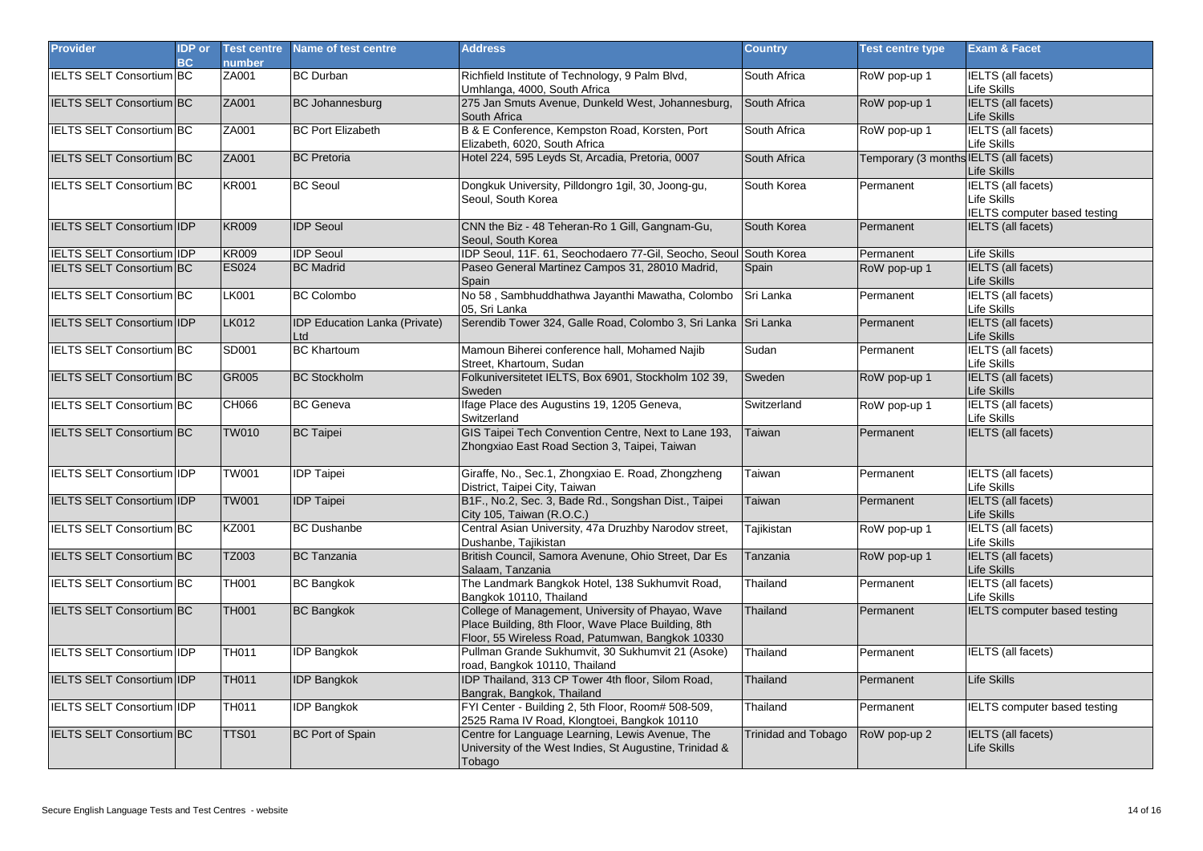| <b>Provider</b>                  | <b>IDP</b> or<br>BC | <b>Test centre</b><br><b>number</b> | Name of test centre                         | <b>Address</b>                                                                                                                                               | <b>Country</b>      | <b>Test centre type</b>                | <b>Exam &amp; Facet</b>                                                                |
|----------------------------------|---------------------|-------------------------------------|---------------------------------------------|--------------------------------------------------------------------------------------------------------------------------------------------------------------|---------------------|----------------------------------------|----------------------------------------------------------------------------------------|
| <b>IELTS SELT Consortium BC</b>  |                     | ZA001                               | <b>BC</b> Durban                            | Richfield Institute of Technology, 9 Palm Blvd,<br>Umhlanga, 4000, South Africa                                                                              | South Africa        | RoW pop-up 1                           | <b>IELTS</b> (all facets)<br>Life Skills                                               |
| <b>IELTS SELT Consortium BC</b>  |                     | ZA001                               | <b>BC Johannesburg</b>                      | 275 Jan Smuts Avenue, Dunkeld West, Johannesburg,<br>South Africa                                                                                            | South Africa        | RoW pop-up 1                           | <b>IELTS</b> (all facets)<br>Life Skills                                               |
| <b>IELTS SELT Consortium BC</b>  |                     | ZA001                               | <b>BC Port Elizabeth</b>                    | B & E Conference, Kempston Road, Korsten, Port<br>Elizabeth, 6020, South Africa                                                                              | South Africa        | RoW pop-up 1                           | <b>IELTS</b> (all facets)<br><b>Life Skills</b>                                        |
| <b>IELTS SELT Consortium BC</b>  |                     | ZA001                               | <b>BC</b> Pretoria                          | Hotel 224, 595 Leyds St, Arcadia, Pretoria, 0007                                                                                                             | South Africa        | Temporary (3 months IELTS (all facets) | <b>Life Skills</b>                                                                     |
| <b>IELTS SELT Consortium BC</b>  |                     | <b>KR001</b>                        | <b>BC Seoul</b>                             | Dongkuk University, Pilldongro 1gil, 30, Joong-gu,<br>Seoul, South Korea                                                                                     | South Korea         | Permanent                              | <b>IELTS</b> (all facets)<br><b>Life Skills</b><br><b>IELTS</b> computer based testing |
| IELTS SELT Consortium IDP        |                     | <b>KR009</b>                        | <b>IDP Seoul</b>                            | CNN the Biz - 48 Teheran-Ro 1 Gill, Gangnam-Gu,<br>Seoul, South Korea                                                                                        | South Korea         | Permanent                              | <b>IELTS</b> (all facets)                                                              |
| <b>IELTS SELT Consortium IDP</b> |                     | <b>KR009</b>                        | <b>IDP Seoul</b>                            | IDP Seoul, 11F. 61, Seochodaero 77-Gil, Seocho, Seoul South Korea                                                                                            |                     | Permanent                              | <b>Life Skills</b>                                                                     |
| <b>IELTS SELT Consortium BC</b>  |                     | <b>ES024</b>                        | <b>BC</b> Madrid                            | Paseo General Martinez Campos 31, 28010 Madrid,<br>Spain                                                                                                     | Spain               | RoW pop-up 1                           | IELTS (all facets)<br><b>Life Skills</b>                                               |
| IELTS SELT Consortium BC         |                     | <b>LK001</b>                        | <b>BC Colombo</b>                           | No 58, Sambhuddhathwa Jayanthi Mawatha, Colombo<br>05, Sri Lanka                                                                                             | Sri Lanka           | Permanent                              | <b>IELTS</b> (all facets)<br>Life Skills                                               |
| <b>IELTS SELT Consortium IDP</b> |                     | <b>LK012</b>                        | <b>IDP Education Lanka (Private)</b><br>Ltd | Serendib Tower 324, Galle Road, Colombo 3, Sri Lanka Sri Lanka                                                                                               |                     | Permanent                              | <b>IELTS</b> (all facets)<br><b>Life Skills</b>                                        |
| <b>IELTS SELT Consortium BC</b>  |                     | SD001                               | <b>BC Khartoum</b>                          | Mamoun Biherei conference hall, Mohamed Najib<br>Street, Khartoum, Sudan                                                                                     | Sudan               | Permanent                              | <b>IELTS</b> (all facets)<br>Life Skills                                               |
| IELTS SELT Consortium BC         |                     | <b>GR005</b>                        | <b>BC Stockholm</b>                         | Folkuniversitetet IELTS, Box 6901, Stockholm 102 39,<br>Sweden                                                                                               | Sweden              | RoW pop-up 1                           | <b>IELTS</b> (all facets)<br>Life Skills                                               |
| <b>IELTS SELT Consortium BC</b>  |                     | CH066                               | <b>BC</b> Geneva                            | Ifage Place des Augustins 19, 1205 Geneva,<br>Switzerland                                                                                                    | Switzerland         | RoW pop-up 1                           | <b>IELTS</b> (all facets)<br><b>Life Skills</b>                                        |
| <b>IELTS SELT Consortium BC</b>  |                     | <b>TW010</b>                        | <b>BC Taipei</b>                            | GIS Taipei Tech Convention Centre, Next to Lane 193,<br>Zhongxiao East Road Section 3, Taipei, Taiwan                                                        | Taiwan              | Permanent                              | IELTS (all facets)                                                                     |
| IELTS SELT Consortium IDP        |                     | <b>TW001</b>                        | <b>IDP Taipei</b>                           | Giraffe, No., Sec.1, Zhongxiao E. Road, Zhongzheng<br>District, Taipei City, Taiwan                                                                          | Taiwan              | Permanent                              | IELTS (all facets)<br><b>Life Skills</b>                                               |
| IELTS SELT Consortium IDP        |                     | <b>TW001</b>                        | <b>IDP Taipei</b>                           | B1F., No.2, Sec. 3, Bade Rd., Songshan Dist., Taipei<br>City 105, Taiwan (R.O.C.)                                                                            | Taiwan              | Permanent                              | <b>IELTS</b> (all facets)<br><b>Life Skills</b>                                        |
| <b>IELTS SELT Consortium BC</b>  |                     | KZ001                               | <b>BC Dushanbe</b>                          | Central Asian University, 47a Druzhby Narodov street,<br>Dushanbe, Tajikistan                                                                                | Tajikistan          | RoW pop-up 1                           | <b>IELTS</b> (all facets)<br><b>Life Skills</b>                                        |
| <b>IELTS SELT Consortium BC</b>  |                     | TZ003                               | <b>BC</b> Tanzania                          | British Council, Samora Avenune, Ohio Street, Dar Es<br>Salaam. Tanzania                                                                                     | Tanzania            | RoW pop-up 1                           | IELTS (all facets)<br><b>Life Skills</b>                                               |
| IELTS SELT Consortium BC         |                     | TH001                               | <b>BC Bangkok</b>                           | The Landmark Bangkok Hotel, 138 Sukhumvit Road,<br>Bangkok 10110, Thailand                                                                                   | Thailand            | Permanent                              | <b>IELTS</b> (all facets)<br>Life Skills                                               |
| <b>IELTS SELT Consortium BC</b>  |                     | <b>TH001</b>                        | <b>BC Bangkok</b>                           | College of Management, University of Phayao, Wave<br>Place Building, 8th Floor, Wave Place Building, 8th<br>Floor, 55 Wireless Road, Patumwan, Bangkok 10330 | Thailand            | Permanent                              | <b>IELTS</b> computer based testing                                                    |
| <b>IELTS SELT Consortium IDP</b> |                     | <b>TH011</b>                        | <b>IDP Bangkok</b>                          | Pullman Grande Sukhumvit, 30 Sukhumvit 21 (Asoke)<br>road, Bangkok 10110, Thailand                                                                           | Thailand            | Permanent                              | IELTS (all facets)                                                                     |
| IELTS SELT Consortium IDP        |                     | <b>TH011</b>                        | <b>IDP Bangkok</b>                          | IDP Thailand, 313 CP Tower 4th floor, Silom Road,<br>Bangrak, Bangkok, Thailand                                                                              | Thailand            | Permanent                              | <b>Life Skills</b>                                                                     |
| <b>IELTS SELT Consortium IDP</b> |                     | <b>TH011</b>                        | <b>IDP Bangkok</b>                          | FYI Center - Building 2, 5th Floor, Room# 508-509,<br>2525 Rama IV Road, Klongtoei, Bangkok 10110                                                            | Thailand            | Permanent                              | <b>IELTS</b> computer based testing                                                    |
| <b>IELTS SELT Consortium BC</b>  |                     | <b>TTS01</b>                        | <b>BC Port of Spain</b>                     | Centre for Language Learning, Lewis Avenue, The<br>University of the West Indies, St Augustine, Trinidad &<br>Tobago                                         | Trinidad and Tobago | RoW pop-up 2                           | IELTS (all facets)<br><b>Life Skills</b>                                               |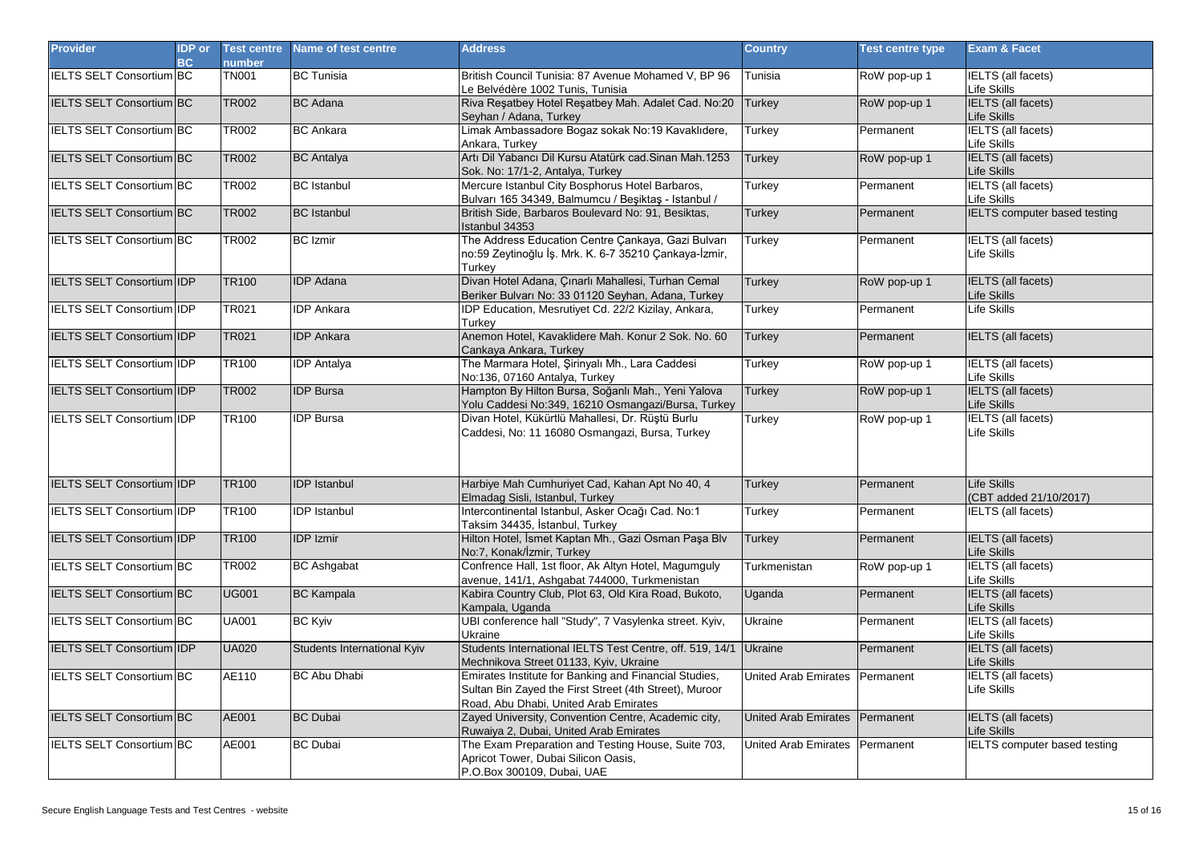| <b>Provider</b>                  | <b>IDP</b> or<br>BC | <b>Test centre</b><br>number | Name of test centre         | <b>Address</b>                                                                                                                                           | <b>Country</b>              | <b>Test centre type</b> | <b>Exam &amp; Facet</b>                         |
|----------------------------------|---------------------|------------------------------|-----------------------------|----------------------------------------------------------------------------------------------------------------------------------------------------------|-----------------------------|-------------------------|-------------------------------------------------|
| IELTS SELT Consortium BC         |                     | <b>TN001</b>                 | <b>BC Tunisia</b>           | British Council Tunisia: 87 Avenue Mohamed V, BP 96<br>Le Belvédère 1002 Tunis, Tunisia                                                                  | Tunisia                     | RoW pop-up 1            | <b>IELTS</b> (all facets)<br><b>Life Skills</b> |
| <b>IELTS SELT Consortium BC</b>  |                     | <b>TR002</b>                 | <b>BC</b> Adana             | Riva Reşatbey Hotel Reşatbey Mah. Adalet Cad. No:20<br>Seyhan / Adana, Turkey                                                                            | Turkey                      | RoW pop-up 1            | <b>IELTS</b> (all facets)<br><b>Life Skills</b> |
| <b>IELTS SELT Consortium BC</b>  |                     | <b>TR002</b>                 | <b>BC</b> Ankara            | Limak Ambassadore Bogaz sokak No:19 Kavaklıdere,<br>Ankara, Turkev                                                                                       | Turkey                      | Permanent               | <b>IELTS</b> (all facets)<br>Life Skills        |
| <b>IELTS SELT Consortium BC</b>  |                     | <b>TR002</b>                 | <b>BC</b> Antalya           | Artı Dil Yabancı Dil Kursu Atatürk cad. Sinan Mah. 1253<br>Sok. No: 17/1-2, Antalya, Turkey                                                              | <b>Turkey</b>               | RoW pop-up 1            | <b>IELTS</b> (all facets)<br><b>Life Skills</b> |
| <b>IELTS SELT Consortium BC</b>  |                     | <b>TR002</b>                 | <b>BC</b> Istanbul          | Mercure Istanbul City Bosphorus Hotel Barbaros,<br>Bulvarı 165 34349, Balmumcu / Beşiktaş - Istanbul /                                                   | Turkey                      | Permanent               | <b>IELTS</b> (all facets)<br>Life Skills        |
| IELTS SELT Consortium BC         |                     | <b>TR002</b>                 | <b>BC</b> Istanbul          | British Side, Barbaros Boulevard No: 91, Besiktas,<br>Istanbul 34353                                                                                     | <b>Turkey</b>               | Permanent               | <b>IELTS</b> computer based testing             |
| IELTS SELT Consortium BC         |                     | <b>TR002</b>                 | <b>BC</b> Izmir             | The Address Education Centre Çankaya, Gazi Bulvarı<br>no:59 Zeytinoğlu İş. Mrk. K. 6-7 35210 Çankaya-İzmir,<br>Turkev                                    | Turkey                      | Permanent               | IELTS (all facets)<br>Life Skills               |
| <b>IELTS SELT Consortium IDP</b> |                     | <b>TR100</b>                 | <b>IDP</b> Adana            | Divan Hotel Adana, Çınarlı Mahallesi, Turhan Cemal<br>Beriker Bulvarı No: 33 01120 Seyhan, Adana, Turkey                                                 | Turkey                      | RoW pop-up 1            | <b>IELTS</b> (all facets)<br><b>Life Skills</b> |
| IELTS SELT Consortium IDP        |                     | TR021                        | <b>IDP Ankara</b>           | IDP Education, Mesrutiyet Cd. 22/2 Kizilay, Ankara,<br>Turkev                                                                                            | Turkey                      | Permanent               | Life Skills                                     |
| IELTS SELT Consortium IDP        |                     | <b>TR021</b>                 | <b>IDP</b> Ankara           | Anemon Hotel, Kavaklidere Mah. Konur 2 Sok. No. 60<br>Cankaya Ankara, Turkey                                                                             | <b>Turkey</b>               | Permanent               | IELTS (all facets)                              |
| <b>IELTS SELT Consortium IDP</b> |                     | TR100                        | <b>IDP Antalya</b>          | The Marmara Hotel, Şirinyalı Mh., Lara Caddesi<br>No:136, 07160 Antalya, Turkey                                                                          | Turkey                      | RoW pop-up 1            | IELTS (all facets)<br>Life Skills               |
| <b>IELTS SELT Consortium IDP</b> |                     | <b>TR002</b>                 | <b>IDP Bursa</b>            | Hampton By Hilton Bursa, Soğanlı Mah., Yeni Yalova<br>Yolu Caddesi No:349, 16210 Osmangazi/Bursa, Turkey                                                 | Turkey                      | RoW pop-up 1            | <b>IELTS</b> (all facets)<br>Life Skills        |
| <b>IELTS SELT Consortium IDP</b> |                     | TR100                        | <b>IDP Bursa</b>            | Divan Hotel, Kükürtlü Mahallesi, Dr. Rüştü Burlu<br>Caddesi, No: 11 16080 Osmangazi, Bursa, Turkey                                                       | Turkey                      | RoW pop-up 1            | <b>IELTS</b> (all facets)<br><b>Life Skills</b> |
| <b>IELTS SELT Consortium IDP</b> |                     | <b>TR100</b>                 | <b>IDP Istanbul</b>         | Harbiye Mah Cumhuriyet Cad, Kahan Apt No 40, 4<br>Elmadag Sisli, Istanbul, Turkey                                                                        | Turkey                      | Permanent               | <b>Life Skills</b><br>(CBT added 21/10/2017)    |
| <b>IELTS SELT Consortium IDP</b> |                     | TR100                        | <b>IDP</b> Istanbul         | Intercontinental Istanbul, Asker Ocağı Cad. No:1<br>Taksim 34435, İstanbul, Turkey                                                                       | Turkey                      | Permanent               | IELTS (all facets)                              |
| <b>IELTS SELT Consortium IDP</b> |                     | <b>TR100</b>                 | <b>IDP Izmir</b>            | Hilton Hotel, Ismet Kaptan Mh., Gazi Osman Paşa Blv<br>No:7, Konak/Izmir, Turkey                                                                         | <b>Turkey</b>               | Permanent               | IELTS (all facets)<br><b>Life Skills</b>        |
| <b>IELTS SELT Consortium BC</b>  |                     | <b>TR002</b>                 | <b>BC Ashgabat</b>          | Confrence Hall, 1st floor, Ak Altyn Hotel, Magumguly<br>avenue, 141/1, Ashgabat 744000, Turkmenistan                                                     | Turkmenistan                | RoW pop-up 1            | <b>IELTS</b> (all facets)<br><b>Life Skills</b> |
| IELTS SELT Consortium BC         |                     | <b>UG001</b>                 | <b>BC Kampala</b>           | Kabira Country Club, Plot 63, Old Kira Road, Bukoto,<br>Kampala, Uganda                                                                                  | Uganda                      | Permanent               | <b>IELTS</b> (all facets)<br>Life Skills        |
| <b>IELTS SELT Consortium BC</b>  |                     | <b>UA001</b>                 | <b>BC Kyiv</b>              | UBI conference hall "Study", 7 Vasylenka street. Kyiv,<br>Ukraine                                                                                        | Ukraine                     | Permanent               | <b>IELTS</b> (all facets)<br>Life Skills        |
| IELTS SELT Consortium IDP        |                     | <b>UA020</b>                 | Students International Kyiv | Students International IELTS Test Centre, off. 519, 14/1<br>Mechnikova Street 01133, Kyiv, Ukraine                                                       | Ukraine                     | Permanent               | <b>IELTS</b> (all facets)<br><b>Life Skills</b> |
| <b>IELTS SELT Consortium BC</b>  |                     | AE110                        | <b>BC Abu Dhabi</b>         | Emirates Institute for Banking and Financial Studies,<br>Sultan Bin Zayed the First Street (4th Street), Muroor<br>Road, Abu Dhabi, United Arab Emirates | <b>United Arab Emirates</b> | Permanent               | <b>IELTS</b> (all facets)<br><b>Life Skills</b> |
| <b>IELTS SELT Consortium BC</b>  |                     | AE001                        | <b>BC Dubai</b>             | Zayed University, Convention Centre, Academic city,<br>Ruwaiya 2, Dubai, United Arab Emirates                                                            | <b>United Arab Emirates</b> | Permanent               | IELTS (all facets)<br>Life Skills               |
| IELTS SELT Consortium BC         |                     | AE001                        | <b>BC Dubai</b>             | The Exam Preparation and Testing House, Suite 703,<br>Apricot Tower, Dubai Silicon Oasis,<br>P.O.Box 300109, Dubai, UAE                                  | <b>United Arab Emirates</b> | Permanent               | IELTS computer based testing                    |